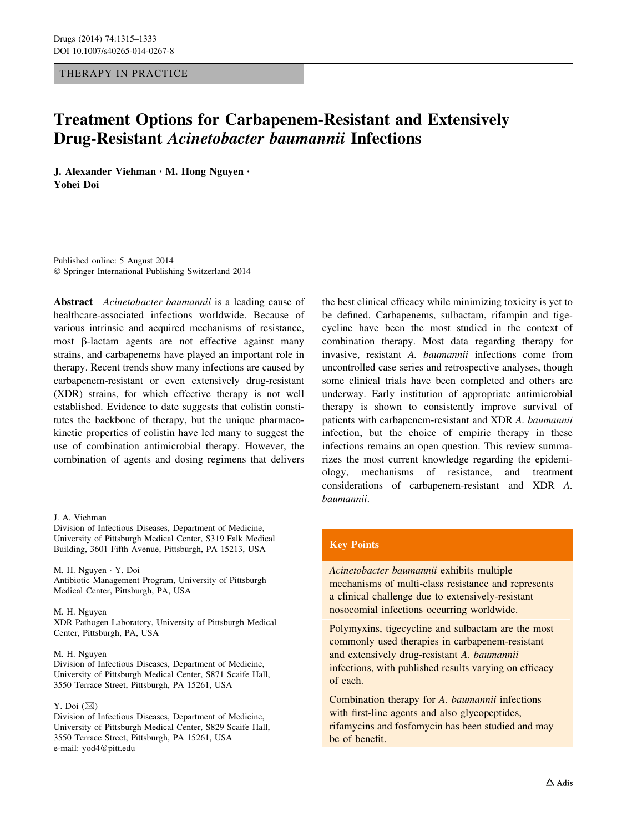## THERAPY IN PRACTICE

# Treatment Options for Carbapenem-Resistant and Extensively Drug-Resistant Acinetobacter baumannii Infections

J. Alexander Viehman • M. Hong Nguyen • Yohei Doi

Published online: 5 August 2014 - Springer International Publishing Switzerland 2014

Abstract Acinetobacter baumannii is a leading cause of healthcare-associated infections worldwide. Because of various intrinsic and acquired mechanisms of resistance, most  $\beta$ -lactam agents are not effective against many strains, and carbapenems have played an important role in therapy. Recent trends show many infections are caused by carbapenem-resistant or even extensively drug-resistant (XDR) strains, for which effective therapy is not well established. Evidence to date suggests that colistin constitutes the backbone of therapy, but the unique pharmacokinetic properties of colistin have led many to suggest the use of combination antimicrobial therapy. However, the combination of agents and dosing regimens that delivers

Division of Infectious Diseases, Department of Medicine, University of Pittsburgh Medical Center, S319 Falk Medical Building, 3601 Fifth Avenue, Pittsburgh, PA 15213, USA

M. H. Nguyen - Y. Doi Antibiotic Management Program, University of Pittsburgh Medical Center, Pittsburgh, PA, USA

M. H. Nguyen

XDR Pathogen Laboratory, University of Pittsburgh Medical Center, Pittsburgh, PA, USA

#### M. H. Nguyen

Division of Infectious Diseases, Department of Medicine, University of Pittsburgh Medical Center, S871 Scaife Hall, 3550 Terrace Street, Pittsburgh, PA 15261, USA

#### Y. Doi  $(\boxtimes)$

Division of Infectious Diseases, Department of Medicine, University of Pittsburgh Medical Center, S829 Scaife Hall, 3550 Terrace Street, Pittsburgh, PA 15261, USA e-mail: yod4@pitt.edu

the best clinical efficacy while minimizing toxicity is yet to be defined. Carbapenems, sulbactam, rifampin and tigecycline have been the most studied in the context of combination therapy. Most data regarding therapy for invasive, resistant A. baumannii infections come from uncontrolled case series and retrospective analyses, though some clinical trials have been completed and others are underway. Early institution of appropriate antimicrobial therapy is shown to consistently improve survival of patients with carbapenem-resistant and XDR A. baumannii infection, but the choice of empiric therapy in these infections remains an open question. This review summarizes the most current knowledge regarding the epidemiology, mechanisms of resistance, and treatment considerations of carbapenem-resistant and XDR A. baumannii.

## Key Points

Acinetobacter baumannii exhibits multiple mechanisms of multi-class resistance and represents a clinical challenge due to extensively-resistant nosocomial infections occurring worldwide.

Polymyxins, tigecycline and sulbactam are the most commonly used therapies in carbapenem-resistant and extensively drug-resistant A. baumannii infections, with published results varying on efficacy of each.

Combination therapy for A. baumannii infections with first-line agents and also glycopeptides, rifamycins and fosfomycin has been studied and may be of benefit.

J. A. Viehman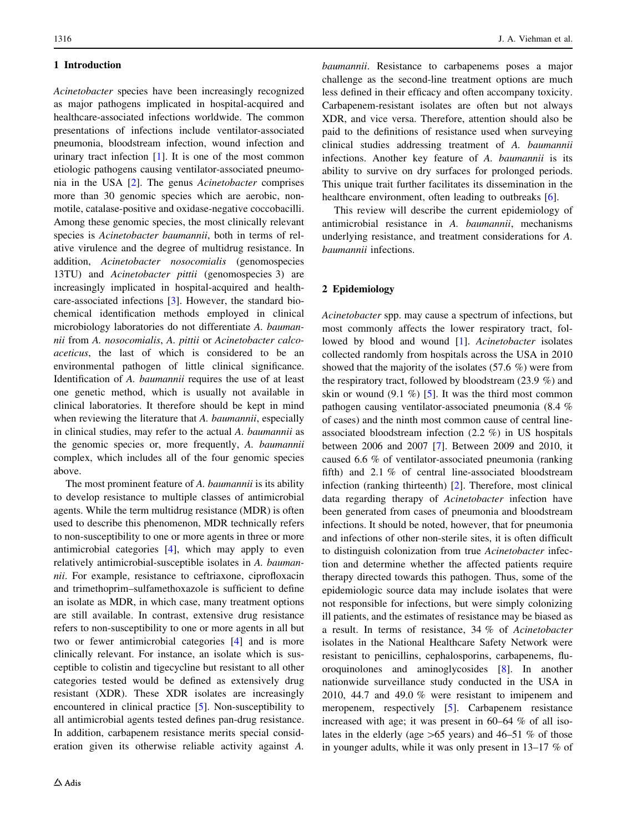## 1 Introduction

Acinetobacter species have been increasingly recognized as major pathogens implicated in hospital-acquired and healthcare-associated infections worldwide. The common presentations of infections include ventilator-associated pneumonia, bloodstream infection, wound infection and urinary tract infection [[1\]](#page-13-0). It is one of the most common etiologic pathogens causing ventilator-associated pneumonia in the USA [[2\]](#page-13-0). The genus Acinetobacter comprises more than 30 genomic species which are aerobic, nonmotile, catalase-positive and oxidase-negative coccobacilli. Among these genomic species, the most clinically relevant species is Acinetobacter baumannii, both in terms of relative virulence and the degree of multidrug resistance. In addition, Acinetobacter nosocomialis (genomospecies 13TU) and Acinetobacter pittii (genomospecies 3) are increasingly implicated in hospital-acquired and healthcare-associated infections [\[3](#page-13-0)]. However, the standard biochemical identification methods employed in clinical microbiology laboratories do not differentiate A. baumannii from A. nosocomialis, A. pittii or Acinetobacter calcoaceticus, the last of which is considered to be an environmental pathogen of little clinical significance. Identification of A. baumannii requires the use of at least one genetic method, which is usually not available in clinical laboratories. It therefore should be kept in mind when reviewing the literature that A. baumannii, especially in clinical studies, may refer to the actual A. baumannii as the genomic species or, more frequently, A. baumannii complex, which includes all of the four genomic species above.

The most prominent feature of A. *baumannii* is its ability to develop resistance to multiple classes of antimicrobial agents. While the term multidrug resistance (MDR) is often used to describe this phenomenon, MDR technically refers to non-susceptibility to one or more agents in three or more antimicrobial categories [[4\]](#page-13-0), which may apply to even relatively antimicrobial-susceptible isolates in A. baumannii. For example, resistance to ceftriaxone, ciprofloxacin and trimethoprim–sulfamethoxazole is sufficient to define an isolate as MDR, in which case, many treatment options are still available. In contrast, extensive drug resistance refers to non-susceptibility to one or more agents in all but two or fewer antimicrobial categories [\[4](#page-13-0)] and is more clinically relevant. For instance, an isolate which is susceptible to colistin and tigecycline but resistant to all other categories tested would be defined as extensively drug resistant (XDR). These XDR isolates are increasingly encountered in clinical practice [[5\]](#page-13-0). Non-susceptibility to all antimicrobial agents tested defines pan-drug resistance. In addition, carbapenem resistance merits special consideration given its otherwise reliable activity against A. baumannii. Resistance to carbapenems poses a major challenge as the second-line treatment options are much less defined in their efficacy and often accompany toxicity. Carbapenem-resistant isolates are often but not always XDR, and vice versa. Therefore, attention should also be paid to the definitions of resistance used when surveying clinical studies addressing treatment of A. baumannii infections. Another key feature of A. baumannii is its ability to survive on dry surfaces for prolonged periods. This unique trait further facilitates its dissemination in the healthcare environment, often leading to outbreaks [[6\]](#page-13-0).

This review will describe the current epidemiology of antimicrobial resistance in A. baumannii, mechanisms underlying resistance, and treatment considerations for A. baumannii infections.

## 2 Epidemiology

Acinetobacter spp. may cause a spectrum of infections, but most commonly affects the lower respiratory tract, fol-lowed by blood and wound [[1](#page-13-0)]. Acinetobacter isolates collected randomly from hospitals across the USA in 2010 showed that the majority of the isolates (57.6 %) were from the respiratory tract, followed by bloodstream (23.9 %) and skin or wound  $(9.1 \%)$  [[5\]](#page-13-0). It was the third most common pathogen causing ventilator-associated pneumonia (8.4 % of cases) and the ninth most common cause of central lineassociated bloodstream infection (2.2 %) in US hospitals between 2006 and 2007 [\[7](#page-13-0)]. Between 2009 and 2010, it caused 6.6 % of ventilator-associated pneumonia (ranking fifth) and 2.1 % of central line-associated bloodstream infection (ranking thirteenth) [[2\]](#page-13-0). Therefore, most clinical data regarding therapy of Acinetobacter infection have been generated from cases of pneumonia and bloodstream infections. It should be noted, however, that for pneumonia and infections of other non-sterile sites, it is often difficult to distinguish colonization from true Acinetobacter infection and determine whether the affected patients require therapy directed towards this pathogen. Thus, some of the epidemiologic source data may include isolates that were not responsible for infections, but were simply colonizing ill patients, and the estimates of resistance may be biased as a result. In terms of resistance, 34 % of Acinetobacter isolates in the National Healthcare Safety Network were resistant to penicillins, cephalosporins, carbapenems, fluoroquinolones and aminoglycosides [\[8](#page-13-0)]. In another nationwide surveillance study conducted in the USA in 2010, 44.7 and 49.0 % were resistant to imipenem and meropenem, respectively [\[5\]](#page-13-0). Carbapenem resistance increased with age; it was present in 60–64 % of all isolates in the elderly (age  $>65$  years) and 46–51 % of those in younger adults, while it was only present in 13–17 % of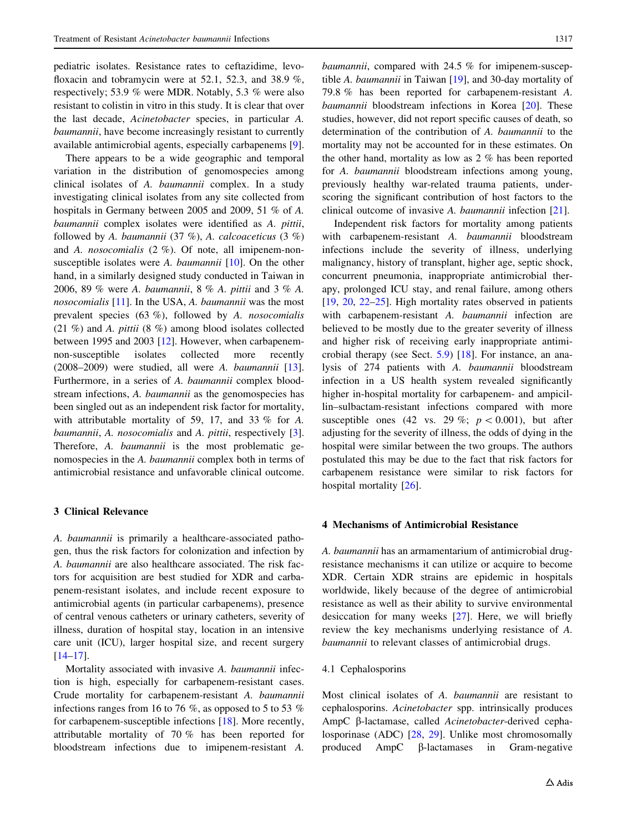pediatric isolates. Resistance rates to ceftazidime, levofloxacin and tobramycin were at 52.1, 52.3, and 38.9 %, respectively; 53.9 % were MDR. Notably, 5.3 % were also resistant to colistin in vitro in this study. It is clear that over the last decade, Acinetobacter species, in particular A. baumannii, have become increasingly resistant to currently available antimicrobial agents, especially carbapenems [\[9](#page-13-0)].

There appears to be a wide geographic and temporal variation in the distribution of genomospecies among clinical isolates of A. baumannii complex. In a study investigating clinical isolates from any site collected from hospitals in Germany between 2005 and 2009, 51 % of A. baumannii complex isolates were identified as A. pittii, followed by A. baumannii (37 %), A. calcoaceticus (3 %) and A. nosocomialis (2 %). Of note, all imipenem-nonsusceptible isolates were A. baumannii  $[10]$  $[10]$ . On the other hand, in a similarly designed study conducted in Taiwan in 2006, 89 % were A. baumannii,8% A. pittii and 3 % A. nosocomialis [[11\]](#page-13-0). In the USA, A. baumannii was the most prevalent species (63 %), followed by A. nosocomialis (21 %) and A. pittii (8 %) among blood isolates collected between 1995 and 2003 [[12\]](#page-13-0). However, when carbapenemnon-susceptible isolates collected more recently (2008–2009) were studied, all were A. baumannii [\[13](#page-13-0)]. Furthermore, in a series of A. baumannii complex bloodstream infections, A. *baumannii* as the genomospecies has been singled out as an independent risk factor for mortality, with attributable mortality of 59, 17, and 33 % for A. baumannii, A. nosocomialis and A. pittii, respectively [\[3](#page-13-0)]. Therefore, A. baumannii is the most problematic genomospecies in the A. baumannii complex both in terms of antimicrobial resistance and unfavorable clinical outcome.

# 3 Clinical Relevance

A. baumannii is primarily a healthcare-associated pathogen, thus the risk factors for colonization and infection by A. baumannii are also healthcare associated. The risk factors for acquisition are best studied for XDR and carbapenem-resistant isolates, and include recent exposure to antimicrobial agents (in particular carbapenems), presence of central venous catheters or urinary catheters, severity of illness, duration of hospital stay, location in an intensive care unit (ICU), larger hospital size, and recent surgery [\[14](#page-13-0)[–17](#page-14-0)].

Mortality associated with invasive A. baumannii infection is high, especially for carbapenem-resistant cases. Crude mortality for carbapenem-resistant A. baumannii infections ranges from 16 to 76 %, as opposed to 5 to 53 % for carbapenem-susceptible infections [[18\]](#page-14-0). More recently, attributable mortality of 70 % has been reported for bloodstream infections due to imipenem-resistant A.

baumannii, compared with 24.5 % for imipenem-susceptible A. baumannii in Taiwan [\[19](#page-14-0)], and 30-day mortality of 79.8 % has been reported for carbapenem-resistant A. baumannii bloodstream infections in Korea [\[20](#page-14-0)]. These studies, however, did not report specific causes of death, so determination of the contribution of A. baumannii to the mortality may not be accounted for in these estimates. On the other hand, mortality as low as 2 % has been reported for A. baumannii bloodstream infections among young, previously healthy war-related trauma patients, underscoring the significant contribution of host factors to the clinical outcome of invasive A. baumannii infection [[21\]](#page-14-0).

Independent risk factors for mortality among patients with carbapenem-resistant A. baumannii bloodstream infections include the severity of illness, underlying malignancy, history of transplant, higher age, septic shock, concurrent pneumonia, inappropriate antimicrobial therapy, prolonged ICU stay, and renal failure, among others [\[19](#page-14-0), [20](#page-14-0), [22–25](#page-14-0)]. High mortality rates observed in patients with carbapenem-resistant A. baumannii infection are believed to be mostly due to the greater severity of illness and higher risk of receiving early inappropriate antimicrobial therapy (see Sect. [5.9](#page-12-0)) [[18\]](#page-14-0). For instance, an analysis of 274 patients with A. baumannii bloodstream infection in a US health system revealed significantly higher in-hospital mortality for carbapenem- and ampicillin–sulbactam-resistant infections compared with more susceptible ones (42 vs. 29 %;  $p < 0.001$ ), but after adjusting for the severity of illness, the odds of dying in the hospital were similar between the two groups. The authors postulated this may be due to the fact that risk factors for carbapenem resistance were similar to risk factors for hospital mortality [[26\]](#page-14-0).

#### 4 Mechanisms of Antimicrobial Resistance

A. baumannii has an armamentarium of antimicrobial drugresistance mechanisms it can utilize or acquire to become XDR. Certain XDR strains are epidemic in hospitals worldwide, likely because of the degree of antimicrobial resistance as well as their ability to survive environmental desiccation for many weeks [\[27](#page-14-0)]. Here, we will briefly review the key mechanisms underlying resistance of A. baumannii to relevant classes of antimicrobial drugs.

#### 4.1 Cephalosporins

Most clinical isolates of A. baumannii are resistant to cephalosporins. Acinetobacter spp. intrinsically produces AmpC β-lactamase, called Acinetobacter-derived cephalosporinase (ADC) [[28,](#page-14-0) [29](#page-14-0)]. Unlike most chromosomally produced  $AmpC$   $\beta$ -lactamases in Gram-negative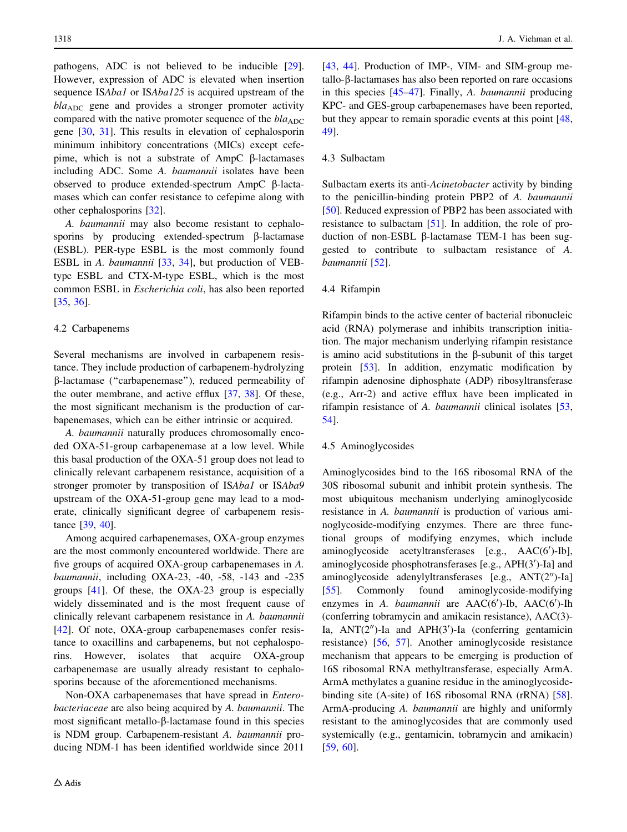pathogens, ADC is not believed to be inducible [\[29](#page-14-0)]. However, expression of ADC is elevated when insertion sequence ISAba1 or ISAba125 is acquired upstream of the  $bla<sub>ADC</sub>$  gene and provides a stronger promoter activity compared with the native promoter sequence of the  $bla<sub>ADC</sub>$ gene [[30,](#page-14-0) [31](#page-14-0)]. This results in elevation of cephalosporin minimum inhibitory concentrations (MICs) except cefepime, which is not a substrate of  $AmpC$   $\beta$ -lactamases including ADC. Some A. baumannii isolates have been observed to produce extended-spectrum  $AmpC$   $\beta$ -lactamases which can confer resistance to cefepime along with other cephalosporins [[32\]](#page-14-0).

A. baumannii may also become resistant to cephalosporins by producing extended-spectrum  $\beta$ -lactamase (ESBL). PER-type ESBL is the most commonly found ESBL in A. baumannii [[33,](#page-14-0) [34\]](#page-14-0), but production of VEBtype ESBL and CTX-M-type ESBL, which is the most common ESBL in Escherichia coli, has also been reported [\[35](#page-14-0), [36](#page-14-0)].

## 4.2 Carbapenems

Several mechanisms are involved in carbapenem resistance. They include production of carbapenem-hydrolyzing b-lactamase (''carbapenemase''), reduced permeability of the outer membrane, and active efflux [\[37](#page-14-0), [38](#page-14-0)]. Of these, the most significant mechanism is the production of carbapenemases, which can be either intrinsic or acquired.

A. baumannii naturally produces chromosomally encoded OXA-51-group carbapenemase at a low level. While this basal production of the OXA-51 group does not lead to clinically relevant carbapenem resistance, acquisition of a stronger promoter by transposition of ISAba1 or ISAba9 upstream of the OXA-51-group gene may lead to a moderate, clinically significant degree of carbapenem resistance [[39,](#page-14-0) [40\]](#page-14-0).

Among acquired carbapenemases, OXA-group enzymes are the most commonly encountered worldwide. There are five groups of acquired OXA-group carbapenemases in A. baumannii, including OXA-23, -40, -58, -143 and -235 groups [[41\]](#page-14-0). Of these, the OXA-23 group is especially widely disseminated and is the most frequent cause of clinically relevant carbapenem resistance in A. baumannii [\[42](#page-14-0)]. Of note, OXA-group carbapenemases confer resistance to oxacillins and carbapenems, but not cephalosporins. However, isolates that acquire OXA-group carbapenemase are usually already resistant to cephalosporins because of the aforementioned mechanisms.

Non-OXA carbapenemases that have spread in Enterobacteriaceae are also being acquired by A. baumannii. The most significant metallo- $\beta$ -lactamase found in this species is NDM group. Carbapenem-resistant A. baumannii producing NDM-1 has been identified worldwide since 2011

[\[43](#page-14-0), [44](#page-14-0)]. Production of IMP-, VIM- and SIM-group metallo-β-lactamases has also been reported on rare occasions in this species [\[45–47](#page-14-0)]. Finally, A. baumannii producing KPC- and GES-group carbapenemases have been reported, but they appear to remain sporadic events at this point [[48,](#page-15-0) [49](#page-15-0)].

#### 4.3 Sulbactam

Sulbactam exerts its anti-Acinetobacter activity by binding to the penicillin-binding protein PBP2 of A. baumannii [\[50](#page-15-0)]. Reduced expression of PBP2 has been associated with resistance to sulbactam [[51\]](#page-15-0). In addition, the role of production of non-ESBL  $\beta$ -lactamase TEM-1 has been suggested to contribute to sulbactam resistance of A. baumannii [[52](#page-15-0)].

## 4.4 Rifampin

Rifampin binds to the active center of bacterial ribonucleic acid (RNA) polymerase and inhibits transcription initiation. The major mechanism underlying rifampin resistance is amino acid substitutions in the  $\beta$ -subunit of this target protein [\[53](#page-15-0)]. In addition, enzymatic modification by rifampin adenosine diphosphate (ADP) ribosyltransferase (e.g., Arr-2) and active efflux have been implicated in rifampin resistance of A. baumannii clinical isolates [[53,](#page-15-0) [54](#page-15-0)].

## 4.5 Aminoglycosides

Aminoglycosides bind to the 16S ribosomal RNA of the 30S ribosomal subunit and inhibit protein synthesis. The most ubiquitous mechanism underlying aminoglycoside resistance in A. baumannii is production of various aminoglycoside-modifying enzymes. There are three functional groups of modifying enzymes, which include aminoglycoside acetyltransferases [e.g., AAC(6')-Ib], aminoglycoside phosphotransferases [e.g., APH(3')-Ia] and aminoglycoside adenylyltransferases  $[e.g., ANT(2'')-Ia]$ [\[55](#page-15-0)]. Commonly found aminoglycoside-modifying enzymes in A. baumannii are AAC(6')-Ib, AAC(6')-Ih (conferring tobramycin and amikacin resistance), AAC(3)- Ia,  $ANT(2'')$ -Ia and  $APH(3')$ -Ia (conferring gentamicin resistance) [[56,](#page-15-0) [57\]](#page-15-0). Another aminoglycoside resistance mechanism that appears to be emerging is production of 16S ribosomal RNA methyltransferase, especially ArmA. ArmA methylates a guanine residue in the aminoglycosidebinding site (A-site) of 16S ribosomal RNA (rRNA) [\[58](#page-15-0)]. ArmA-producing A. baumannii are highly and uniformly resistant to the aminoglycosides that are commonly used systemically (e.g., gentamicin, tobramycin and amikacin) [\[59](#page-15-0), [60](#page-15-0)].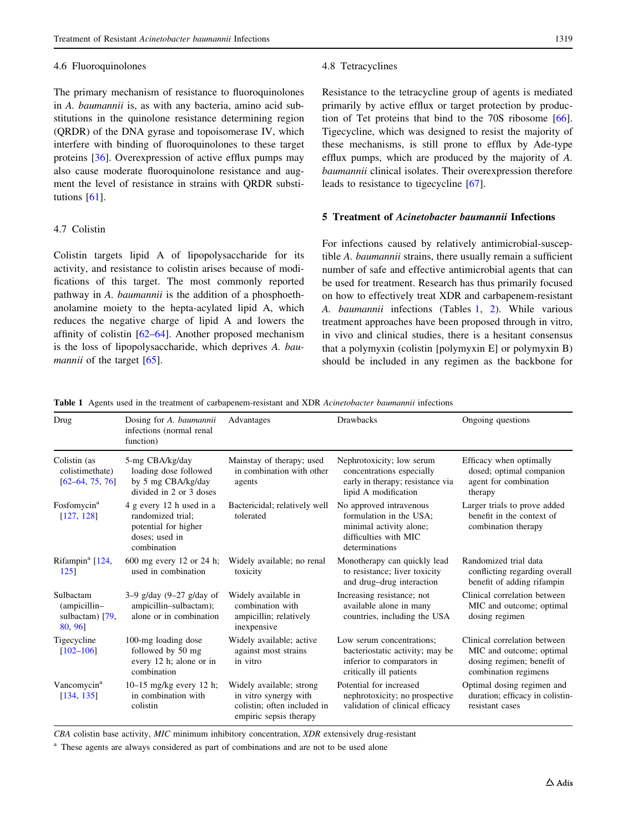#### 4.6 Fluoroquinolones

The primary mechanism of resistance to fluoroquinolones in A. baumannii is, as with any bacteria, amino acid substitutions in the quinolone resistance determining region (QRDR) of the DNA gyrase and topoisomerase IV, which interfere with binding of fluoroquinolones to these target proteins [\[36](#page-14-0)]. Overexpression of active efflux pumps may also cause moderate fluoroquinolone resistance and augment the level of resistance in strains with QRDR substitutions [[61\]](#page-15-0).

## 4.7 Colistin

Colistin targets lipid A of lipopolysaccharide for its activity, and resistance to colistin arises because of modifications of this target. The most commonly reported pathway in A. baumannii is the addition of a phosphoethanolamine moiety to the hepta-acylated lipid A, which reduces the negative charge of lipid A and lowers the affinity of colistin [\[62–64](#page-15-0)]. Another proposed mechanism is the loss of lipopolysaccharide, which deprives A. bau-mannii of the target [[65\]](#page-15-0).

#### 4.8 Tetracyclines

Resistance to the tetracycline group of agents is mediated primarily by active efflux or target protection by production of Tet proteins that bind to the 70S ribosome [\[66](#page-15-0)]. Tigecycline, which was designed to resist the majority of these mechanisms, is still prone to efflux by Ade-type efflux pumps, which are produced by the majority of A. baumannii clinical isolates. Their overexpression therefore leads to resistance to tigecycline [[67\]](#page-15-0).

# 5 Treatment of Acinetobacter baumannii Infections

For infections caused by relatively antimicrobial-susceptible A. baumannii strains, there usually remain a sufficient number of safe and effective antimicrobial agents that can be used for treatment. Research has thus primarily focused on how to effectively treat XDR and carbapenem-resistant A. baumannii infections (Tables 1, [2\)](#page-5-0). While various treatment approaches have been proposed through in vitro, in vivo and clinical studies, there is a hesitant consensus that a polymyxin (colistin [polymyxin E] or polymyxin B) should be included in any regimen as the backbone for

Table 1 Agents used in the treatment of carbapenem-resistant and XDR Acinetobacter baumannii infections

| Drug                                                     | Dosing for A. baumannii<br>infections (normal renal<br>function)                                       | Advantages                                                                                                 | <b>Drawbacks</b>                                                                                                         | Ongoing questions                                                                                              |
|----------------------------------------------------------|--------------------------------------------------------------------------------------------------------|------------------------------------------------------------------------------------------------------------|--------------------------------------------------------------------------------------------------------------------------|----------------------------------------------------------------------------------------------------------------|
| Colistin (as<br>colistimethate)<br>$[62-64, 75, 76]$     | 5-mg CBA/kg/day<br>loading dose followed<br>by 5 mg CBA/kg/day<br>divided in 2 or 3 doses              | Mainstay of therapy; used<br>in combination with other<br>agents                                           | Nephrotoxicity; low serum<br>concentrations especially<br>early in therapy; resistance via<br>lipid A modification       | Efficacy when optimally<br>dosed; optimal companion<br>agent for combination<br>therapy                        |
| Fosfomycin <sup>a</sup><br>[127, 128]                    | 4 g every 12 h used in a<br>randomized trial:<br>potential for higher<br>doses; used in<br>combination | Bactericidal; relatively well<br>tolerated                                                                 | No approved intravenous<br>formulation in the USA:<br>minimal activity alone;<br>difficulties with MIC<br>determinations | Larger trials to prove added<br>benefit in the context of<br>combination therapy                               |
| Rifampin <sup>a</sup> [124,<br>1251                      | 600 mg every 12 or 24 h;<br>used in combination                                                        | Widely available; no renal<br>toxicity                                                                     | Monotherapy can quickly lead<br>to resistance; liver toxicity<br>and drug-drug interaction                               | Randomized trial data<br>conflicting regarding overall<br>benefit of adding rifampin                           |
| Sulbactam<br>(ampicillin-<br>sulbactam) $[79,$<br>80, 96 | $3-9$ g/day $(9-27)$ g/day of<br>ampicillin-sulbactam);<br>alone or in combination                     | Widely available in<br>combination with<br>ampicillin; relatively<br>inexpensive                           | Increasing resistance; not<br>available alone in many<br>countries, including the USA                                    | Clinical correlation between<br>MIC and outcome; optimal<br>dosing regimen                                     |
| Tigecycline<br>$[102 - 106]$                             | 100-mg loading dose<br>followed by 50 mg<br>every 12 h; alone or in<br>combination                     | Widely available; active<br>against most strains<br>in vitro                                               | Low serum concentrations:<br>bacteriostatic activity; may be<br>inferior to comparators in<br>critically ill patients    | Clinical correlation between<br>MIC and outcome; optimal<br>dosing regimen; benefit of<br>combination regimens |
| Vancomycin <sup>a</sup><br>[134, 135]                    | 10-15 mg/kg every 12 h;<br>in combination with<br>colistin                                             | Widely available; strong<br>in vitro synergy with<br>colistin; often included in<br>empiric sepsis therapy | Potential for increased<br>nephrotoxicity; no prospective<br>validation of clinical efficacy                             | Optimal dosing regimen and<br>duration; efficacy in colistin-<br>resistant cases                               |

CBA colistin base activity, MIC minimum inhibitory concentration, XDR extensively drug-resistant

<sup>a</sup> These agents are always considered as part of combinations and are not to be used alone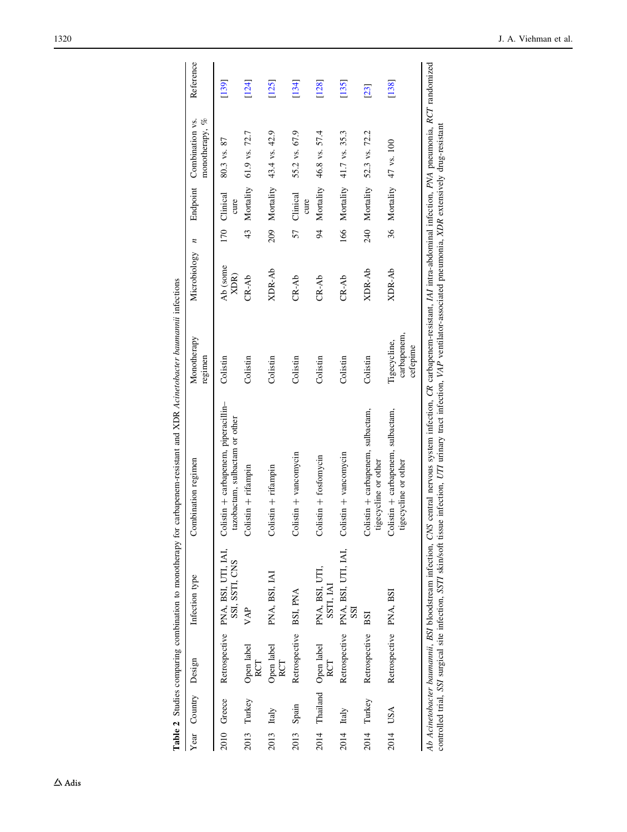| .<br>Comme               |
|--------------------------|
|                          |
| ;<br>$+ -  +  +  +  + -$ |
|                          |
|                          |
|                          |
|                          |
| 4 aww 4                  |
| C<br>Falis               |

<span id="page-5-0"></span>

|      | Year Country Design |                            | Infection type                                      | Combination regimen                                                                                                                                                                                                                                                                                                                                                    | Monotherapy<br>regimen                  | Microbiology $n$ | Endpoint                | monotherapy, %<br>Combination vs. | Reference |
|------|---------------------|----------------------------|-----------------------------------------------------|------------------------------------------------------------------------------------------------------------------------------------------------------------------------------------------------------------------------------------------------------------------------------------------------------------------------------------------------------------------------|-----------------------------------------|------------------|-------------------------|-----------------------------------|-----------|
|      | 2010 Greece         |                            | Retrospective PNA, BSI, UTI, IAI,<br>SSI, SSTI, CNS | Colistin + carbapenem, piperacillin-<br>tazobactam, sulbactam or other                                                                                                                                                                                                                                                                                                 | Colistin                                | Ab (some<br>XDR) | 170 Clinical<br>cure    | 80.3 vs. 87                       | [139]     |
| 2013 | Turkey              | Open label<br>RCT          | VAP                                                 | $Colistin + rifampin$                                                                                                                                                                                                                                                                                                                                                  | Colistin                                | $CR-Ab$          | 43 Mortality            | 61.9 vs. 72.7                     | [124]     |
| 2013 | Italy               | Open label<br>RCT          | PNA, BSI, IAI                                       | $Colistin + rifampin$                                                                                                                                                                                                                                                                                                                                                  | Colistin                                | XDR-Ab           | 209 Mortality           | 43.4 vs. 42.9                     | [125]     |
|      | 2013 Spain          | Retrospective BSI, PNA     |                                                     | Colistin + vancomycin                                                                                                                                                                                                                                                                                                                                                  | Colistin                                | $CR-Ab$          | 57 Clinical<br>cure     | 55.2 vs. 67.9                     | [134]     |
| 2014 |                     | Thailand Open label<br>RCT | PNA, BSI, UTI,<br>SSTI, IAI                         | $Colistin + fosfomycin$                                                                                                                                                                                                                                                                                                                                                | Colistin                                | $CR-Ab$          | 94 Mortality            | 46.8 vs. 57.4                     | [128]     |
| 2014 | Italy               |                            | Retrospective PNA, BSI, UTI, IAI,<br>SSI            | Colistin $+$ vancomycin                                                                                                                                                                                                                                                                                                                                                | Colistin                                | $CR-Ab$          |                         | 166 Mortality 41.7 vs. 35.3       | [135]     |
|      | 2014 Turkey         | Retrospective              | BSI                                                 | Colistin + carbapenem, sulbactam,<br>tigecycline or other                                                                                                                                                                                                                                                                                                              | Colistin                                | XDR-Ab           |                         | 240 Mortality 52.3 vs. 72.2       | [23]      |
|      | 2014 USA            | Retrospective PNA, BSI     |                                                     | Colistin + carbapenem, sulbactam,<br>tigecycline or other                                                                                                                                                                                                                                                                                                              | carbapenem,<br>Tigecycline,<br>cetepime | XDR-Ab           | 36 Mortality 47 vs. 100 |                                   | [138]     |
|      |                     |                            |                                                     | Ab Acinetobacter baumannii, BSI bloodstream infection, CNS central nervous system infection, CR carbapenem-resistant, IAI intra-abdominal infection, PNA pneumonia, RCT randomized<br>controlled trial, SSI surgical site infection, SSIT skin/soft tissue infection, UTI urinary tract infection, VAP ventilator-associated pneumonia, XDR extensively drug-resistant |                                         |                  |                         |                                   |           |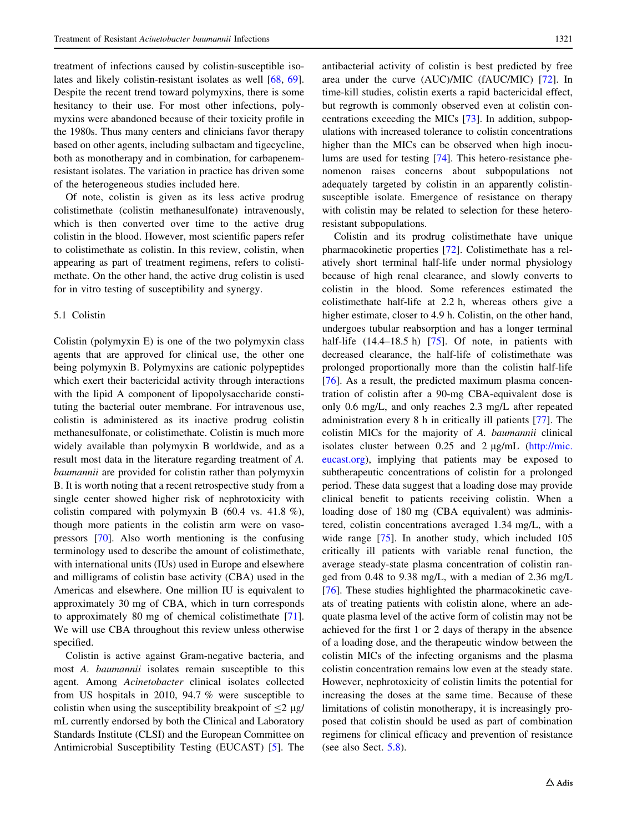treatment of infections caused by colistin-susceptible isolates and likely colistin-resistant isolates as well [\[68](#page-15-0), [69](#page-15-0)]. Despite the recent trend toward polymyxins, there is some hesitancy to their use. For most other infections, polymyxins were abandoned because of their toxicity profile in the 1980s. Thus many centers and clinicians favor therapy based on other agents, including sulbactam and tigecycline, both as monotherapy and in combination, for carbapenemresistant isolates. The variation in practice has driven some of the heterogeneous studies included here.

Of note, colistin is given as its less active prodrug colistimethate (colistin methanesulfonate) intravenously, which is then converted over time to the active drug colistin in the blood. However, most scientific papers refer to colistimethate as colistin. In this review, colistin, when appearing as part of treatment regimens, refers to colistimethate. On the other hand, the active drug colistin is used for in vitro testing of susceptibility and synergy.

## 5.1 Colistin

Colistin (polymyxin E) is one of the two polymyxin class agents that are approved for clinical use, the other one being polymyxin B. Polymyxins are cationic polypeptides which exert their bactericidal activity through interactions with the lipid A component of lipopolysaccharide constituting the bacterial outer membrane. For intravenous use, colistin is administered as its inactive prodrug colistin methanesulfonate, or colistimethate. Colistin is much more widely available than polymyxin B worldwide, and as a result most data in the literature regarding treatment of A. baumannii are provided for colistin rather than polymyxin B. It is worth noting that a recent retrospective study from a single center showed higher risk of nephrotoxicity with colistin compared with polymyxin B  $(60.4 \text{ vs. } 41.8 \%)$ , though more patients in the colistin arm were on vasopressors [[70\]](#page-15-0). Also worth mentioning is the confusing terminology used to describe the amount of colistimethate, with international units (IUs) used in Europe and elsewhere and milligrams of colistin base activity (CBA) used in the Americas and elsewhere. One million IU is equivalent to approximately 30 mg of CBA, which in turn corresponds to approximately 80 mg of chemical colistimethate [\[71](#page-15-0)]. We will use CBA throughout this review unless otherwise specified.

Colistin is active against Gram-negative bacteria, and most A. baumannii isolates remain susceptible to this agent. Among Acinetobacter clinical isolates collected from US hospitals in 2010, 94.7 % were susceptible to colistin when using the susceptibility breakpoint of  $\leq 2$  µg/ mL currently endorsed by both the Clinical and Laboratory Standards Institute (CLSI) and the European Committee on Antimicrobial Susceptibility Testing (EUCAST) [\[5](#page-13-0)]. The

antibacterial activity of colistin is best predicted by free area under the curve (AUC)/MIC (fAUC/MIC) [\[72](#page-15-0)]. In time-kill studies, colistin exerts a rapid bactericidal effect, but regrowth is commonly observed even at colistin concentrations exceeding the MICs [[73\]](#page-15-0). In addition, subpopulations with increased tolerance to colistin concentrations higher than the MICs can be observed when high inoculums are used for testing [[74\]](#page-15-0). This hetero-resistance phenomenon raises concerns about subpopulations not adequately targeted by colistin in an apparently colistinsusceptible isolate. Emergence of resistance on therapy with colistin may be related to selection for these heteroresistant subpopulations.

Colistin and its prodrug colistimethate have unique pharmacokinetic properties [[72\]](#page-15-0). Colistimethate has a relatively short terminal half-life under normal physiology because of high renal clearance, and slowly converts to colistin in the blood. Some references estimated the colistimethate half-life at 2.2 h, whereas others give a higher estimate, closer to 4.9 h. Colistin, on the other hand, undergoes tubular reabsorption and has a longer terminal half-life (14.4–18.5 h) [\[75](#page-15-0)]. Of note, in patients with decreased clearance, the half-life of colistimethate was prolonged proportionally more than the colistin half-life [\[76](#page-15-0)]. As a result, the predicted maximum plasma concentration of colistin after a 90-mg CBA-equivalent dose is only 0.6 mg/L, and only reaches 2.3 mg/L after repeated administration every 8 h in critically ill patients [\[77](#page-15-0)]. The colistin MICs for the majority of A. baumannii clinical isolates cluster between  $0.25$  and  $2 \mu g/mL$  ([http://mic.](http://mic.eucast.org) [eucast.org](http://mic.eucast.org)), implying that patients may be exposed to subtherapeutic concentrations of colistin for a prolonged period. These data suggest that a loading dose may provide clinical benefit to patients receiving colistin. When a loading dose of 180 mg (CBA equivalent) was administered, colistin concentrations averaged 1.34 mg/L, with a wide range [\[75](#page-15-0)]. In another study, which included 105 critically ill patients with variable renal function, the average steady-state plasma concentration of colistin ranged from 0.48 to 9.38 mg/L, with a median of 2.36 mg/L [\[76](#page-15-0)]. These studies highlighted the pharmacokinetic caveats of treating patients with colistin alone, where an adequate plasma level of the active form of colistin may not be achieved for the first 1 or 2 days of therapy in the absence of a loading dose, and the therapeutic window between the colistin MICs of the infecting organisms and the plasma colistin concentration remains low even at the steady state. However, nephrotoxicity of colistin limits the potential for increasing the doses at the same time. Because of these limitations of colistin monotherapy, it is increasingly proposed that colistin should be used as part of combination regimens for clinical efficacy and prevention of resistance (see also Sect. [5.8\)](#page-11-0).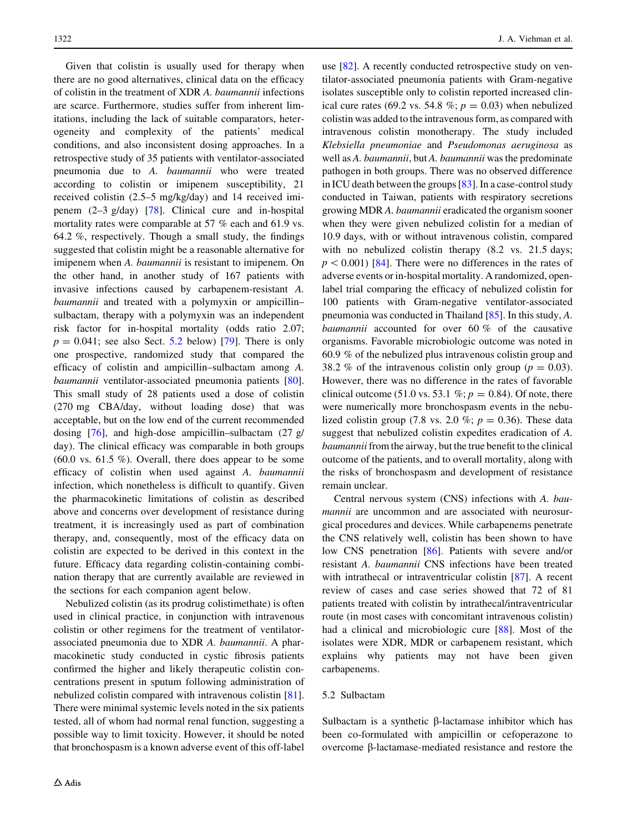Given that colistin is usually used for therapy when there are no good alternatives, clinical data on the efficacy of colistin in the treatment of XDR A. baumannii infections are scarce. Furthermore, studies suffer from inherent limitations, including the lack of suitable comparators, heterogeneity and complexity of the patients' medical conditions, and also inconsistent dosing approaches. In a retrospective study of 35 patients with ventilator-associated pneumonia due to A. baumannii who were treated according to colistin or imipenem susceptibility, 21 received colistin (2.5–5 mg/kg/day) and 14 received imipenem (2–3 g/day) [\[78](#page-16-0)]. Clinical cure and in-hospital mortality rates were comparable at 57 % each and 61.9 vs. 64.2 %, respectively. Though a small study, the findings suggested that colistin might be a reasonable alternative for imipenem when A. *baumannii* is resistant to imipenem. On the other hand, in another study of 167 patients with invasive infections caused by carbapenem-resistant A. baumannii and treated with a polymyxin or ampicillin– sulbactam, therapy with a polymyxin was an independent risk factor for in-hospital mortality (odds ratio 2.07;  $p = 0.041$ ; see also Sect. 5.2 below) [[79\]](#page-16-0). There is only one prospective, randomized study that compared the efficacy of colistin and ampicillin–sulbactam among A. baumannii ventilator-associated pneumonia patients [\[80](#page-16-0)]. This small study of 28 patients used a dose of colistin (270 mg CBA/day, without loading dose) that was acceptable, but on the low end of the current recommended dosing [[76](#page-15-0)], and high-dose ampicillin–sulbactam (27 g/ day). The clinical efficacy was comparable in both groups  $(60.0 \text{ vs. } 61.5 \%)$ . Overall, there does appear to be some efficacy of colistin when used against A. baumannii infection, which nonetheless is difficult to quantify. Given the pharmacokinetic limitations of colistin as described above and concerns over development of resistance during treatment, it is increasingly used as part of combination therapy, and, consequently, most of the efficacy data on colistin are expected to be derived in this context in the future. Efficacy data regarding colistin-containing combination therapy that are currently available are reviewed in the sections for each companion agent below.

Nebulized colistin (as its prodrug colistimethate) is often used in clinical practice, in conjunction with intravenous colistin or other regimens for the treatment of ventilatorassociated pneumonia due to XDR A. baumannii. A pharmacokinetic study conducted in cystic fibrosis patients confirmed the higher and likely therapeutic colistin concentrations present in sputum following administration of nebulized colistin compared with intravenous colistin [\[81](#page-16-0)]. There were minimal systemic levels noted in the six patients tested, all of whom had normal renal function, suggesting a possible way to limit toxicity. However, it should be noted that bronchospasm is a known adverse event of this off-label

use [[82\]](#page-16-0). A recently conducted retrospective study on ventilator-associated pneumonia patients with Gram-negative isolates susceptible only to colistin reported increased clinical cure rates (69.2 vs. 54.8 %;  $p = 0.03$ ) when nebulized colistin was added to the intravenous form, as compared with intravenous colistin monotherapy. The study included Klebsiella pneumoniae and Pseudomonas aeruginosa as well as A. baumannii, but A. baumannii was the predominate pathogen in both groups. There was no observed difference in ICU death between the groups [[83\]](#page-16-0). In a case-control study conducted in Taiwan, patients with respiratory secretions growing MDR A. baumannii eradicated the organism sooner when they were given nebulized colistin for a median of 10.9 days, with or without intravenous colistin, compared with no nebulized colistin therapy (8.2 vs. 21.5 days;  $p<0.001$ ) [[84\]](#page-16-0). There were no differences in the rates of adverse events or in-hospital mortality. A randomized, openlabel trial comparing the efficacy of nebulized colistin for 100 patients with Gram-negative ventilator-associated pneumonia was conducted in Thailand [[85\]](#page-16-0). In this study, A. baumannii accounted for over 60 % of the causative organisms. Favorable microbiologic outcome was noted in 60.9 % of the nebulized plus intravenous colistin group and 38.2 % of the intravenous colistin only group ( $p = 0.03$ ). However, there was no difference in the rates of favorable clinical outcome (51.0 vs. 53.1 %;  $p = 0.84$ ). Of note, there were numerically more bronchospasm events in the nebulized colistin group (7.8 vs. 2.0 %;  $p = 0.36$ ). These data suggest that nebulized colistin expedites eradication of A. baumannii from the airway, but the true benefit to the clinical outcome of the patients, and to overall mortality, along with the risks of bronchospasm and development of resistance remain unclear.

Central nervous system (CNS) infections with A. baumannii are uncommon and are associated with neurosurgical procedures and devices. While carbapenems penetrate the CNS relatively well, colistin has been shown to have low CNS penetration [[86\]](#page-16-0). Patients with severe and/or resistant A. baumannii CNS infections have been treated with intrathecal or intraventricular colistin [[87\]](#page-16-0). A recent review of cases and case series showed that 72 of 81 patients treated with colistin by intrathecal/intraventricular route (in most cases with concomitant intravenous colistin) had a clinical and microbiologic cure [[88\]](#page-16-0). Most of the isolates were XDR, MDR or carbapenem resistant, which explains why patients may not have been given carbapenems.

#### 5.2 Sulbactam

Sulbactam is a synthetic  $\beta$ -lactamase inhibitor which has been co-formulated with ampicillin or cefoperazone to overcome  $\beta$ -lactamase-mediated resistance and restore the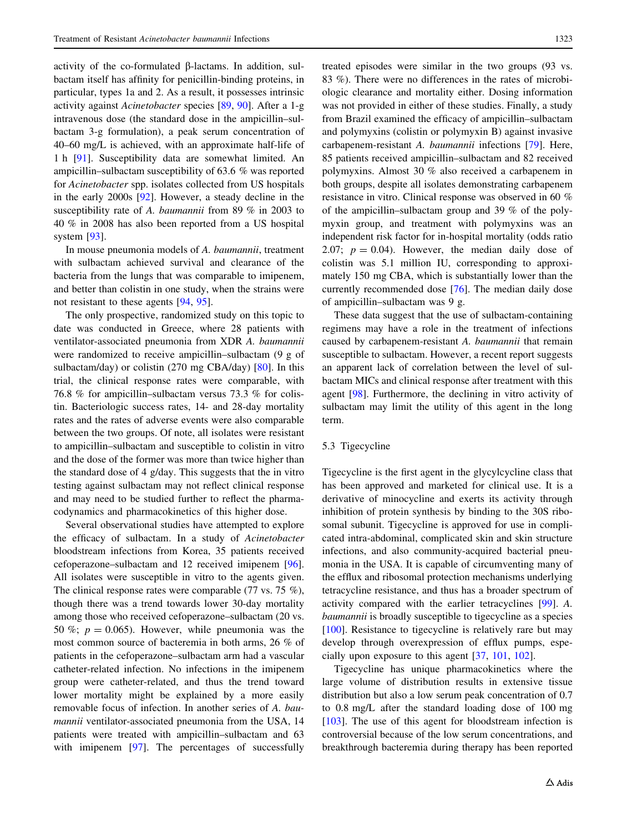activity of the co-formulated b-lactams. In addition, sulbactam itself has affinity for penicillin-binding proteins, in particular, types 1a and 2. As a result, it possesses intrinsic activity against Acinetobacter species [\[89,](#page-16-0) [90](#page-16-0)]. After a 1-g intravenous dose (the standard dose in the ampicillin–sulbactam 3-g formulation), a peak serum concentration of 40–60 mg/L is achieved, with an approximate half-life of 1h [\[91\]](#page-16-0). Susceptibility data are somewhat limited. An ampicillin–sulbactam susceptibility of 63.6 % was reported for Acinetobacter spp. isolates collected from US hospitals in the early 2000s [\[92\]](#page-16-0). However, a steady decline in the susceptibility rate of A. baumannii from 89 % in 2003 to 40 % in 2008 has also been reported from a US hospital system [\[93](#page-16-0)].

In mouse pneumonia models of A. baumannii, treatment with sulbactam achieved survival and clearance of the bacteria from the lungs that was comparable to imipenem, and better than colistin in one study, when the strains were not resistant to these agents [\[94](#page-16-0), [95\]](#page-16-0).

The only prospective, randomized study on this topic to date was conducted in Greece, where 28 patients with ventilator-associated pneumonia from XDR A. baumannii were randomized to receive ampicillin–sulbactam (9 g of sulbactam/day) or colistin (270 mg CBA/day) [\[80](#page-16-0)]. In this trial, the clinical response rates were comparable, with 76.8 % for ampicillin–sulbactam versus 73.3 % for colistin. Bacteriologic success rates, 14- and 28-day mortality rates and the rates of adverse events were also comparable between the two groups. Of note, all isolates were resistant to ampicillin–sulbactam and susceptible to colistin in vitro and the dose of the former was more than twice higher than the standard dose of 4 g/day. This suggests that the in vitro testing against sulbactam may not reflect clinical response and may need to be studied further to reflect the pharmacodynamics and pharmacokinetics of this higher dose.

Several observational studies have attempted to explore the efficacy of sulbactam. In a study of Acinetobacter bloodstream infections from Korea, 35 patients received cefoperazone–sulbactam and 12 received imipenem [\[96](#page-16-0)]. All isolates were susceptible in vitro to the agents given. The clinical response rates were comparable (77 vs. 75 %), though there was a trend towards lower 30-day mortality among those who received cefoperazone–sulbactam (20 vs. 50 %;  $p = 0.065$ ). However, while pneumonia was the most common source of bacteremia in both arms, 26 % of patients in the cefoperazone–sulbactam arm had a vascular catheter-related infection. No infections in the imipenem group were catheter-related, and thus the trend toward lower mortality might be explained by a more easily removable focus of infection. In another series of A. baumannii ventilator-associated pneumonia from the USA, 14 patients were treated with ampicillin–sulbactam and 63 with imipenem [[97\]](#page-16-0). The percentages of successfully treated episodes were similar in the two groups (93 vs. 83 %). There were no differences in the rates of microbiologic clearance and mortality either. Dosing information was not provided in either of these studies. Finally, a study from Brazil examined the efficacy of ampicillin–sulbactam and polymyxins (colistin or polymyxin B) against invasive carbapenem-resistant A. baumannii infections [\[79](#page-16-0)]. Here, 85 patients received ampicillin–sulbactam and 82 received polymyxins. Almost 30 % also received a carbapenem in both groups, despite all isolates demonstrating carbapenem resistance in vitro. Clinical response was observed in 60 % of the ampicillin–sulbactam group and 39 % of the polymyxin group, and treatment with polymyxins was an independent risk factor for in-hospital mortality (odds ratio 2.07;  $p = 0.04$ ). However, the median daily dose of colistin was 5.1 million IU, corresponding to approximately 150 mg CBA, which is substantially lower than the currently recommended dose [\[76](#page-15-0)]. The median daily dose of ampicillin–sulbactam was 9 g.

These data suggest that the use of sulbactam-containing regimens may have a role in the treatment of infections caused by carbapenem-resistant A. baumannii that remain susceptible to sulbactam. However, a recent report suggests an apparent lack of correlation between the level of sulbactam MICs and clinical response after treatment with this agent [[98\]](#page-16-0). Furthermore, the declining in vitro activity of sulbactam may limit the utility of this agent in the long term.

## 5.3 Tigecycline

Tigecycline is the first agent in the glycylcycline class that has been approved and marketed for clinical use. It is a derivative of minocycline and exerts its activity through inhibition of protein synthesis by binding to the 30S ribosomal subunit. Tigecycline is approved for use in complicated intra-abdominal, complicated skin and skin structure infections, and also community-acquired bacterial pneumonia in the USA. It is capable of circumventing many of the efflux and ribosomal protection mechanisms underlying tetracycline resistance, and thus has a broader spectrum of activity compared with the earlier tetracyclines [[99\]](#page-16-0). A. baumannii is broadly susceptible to tigecycline as a species [\[100](#page-16-0)]. Resistance to tigecycline is relatively rare but may develop through overexpression of efflux pumps, especially upon exposure to this agent [[37,](#page-14-0) [101,](#page-16-0) [102](#page-16-0)].

Tigecycline has unique pharmacokinetics where the large volume of distribution results in extensive tissue distribution but also a low serum peak concentration of 0.7 to 0.8 mg/L after the standard loading dose of 100 mg [\[103](#page-16-0)]. The use of this agent for bloodstream infection is controversial because of the low serum concentrations, and breakthrough bacteremia during therapy has been reported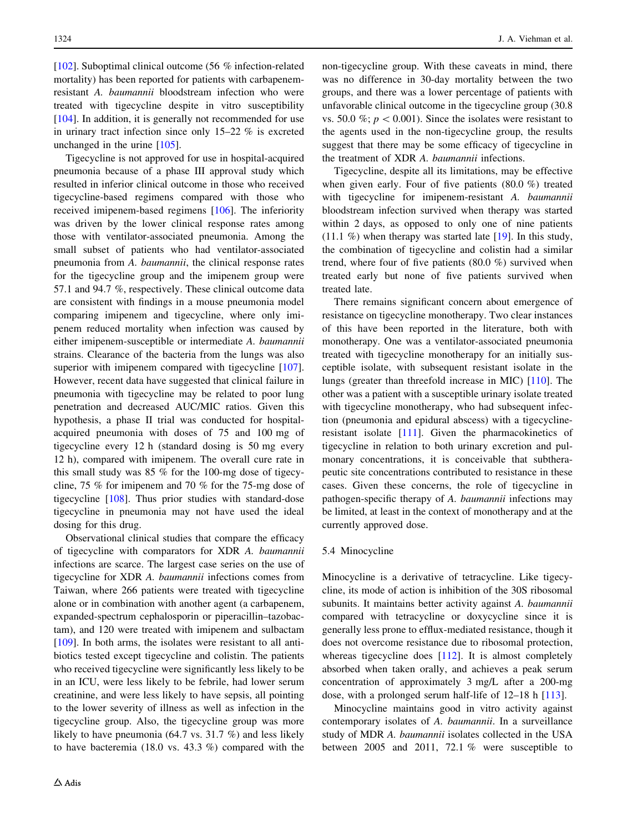[\[102](#page-16-0)]. Suboptimal clinical outcome (56 % infection-related mortality) has been reported for patients with carbapenemresistant A. baumannii bloodstream infection who were treated with tigecycline despite in vitro susceptibility [\[104](#page-16-0)]. In addition, it is generally not recommended for use in urinary tract infection since only 15–22 % is excreted unchanged in the urine [[105\]](#page-16-0).

Tigecycline is not approved for use in hospital-acquired pneumonia because of a phase III approval study which resulted in inferior clinical outcome in those who received tigecycline-based regimens compared with those who received imipenem-based regimens [[106\]](#page-16-0). The inferiority was driven by the lower clinical response rates among those with ventilator-associated pneumonia. Among the small subset of patients who had ventilator-associated pneumonia from A. baumannii, the clinical response rates for the tigecycline group and the imipenem group were 57.1 and 94.7 %, respectively. These clinical outcome data are consistent with findings in a mouse pneumonia model comparing imipenem and tigecycline, where only imipenem reduced mortality when infection was caused by either imipenem-susceptible or intermediate A. baumannii strains. Clearance of the bacteria from the lungs was also superior with imipenem compared with tigecycline [\[107](#page-16-0)]. However, recent data have suggested that clinical failure in pneumonia with tigecycline may be related to poor lung penetration and decreased AUC/MIC ratios. Given this hypothesis, a phase II trial was conducted for hospitalacquired pneumonia with doses of 75 and 100 mg of tigecycline every 12 h (standard dosing is 50 mg every 12 h), compared with imipenem. The overall cure rate in this small study was 85 % for the 100-mg dose of tigecycline, 75 % for imipenem and 70 % for the 75-mg dose of tigecycline [\[108](#page-16-0)]. Thus prior studies with standard-dose tigecycline in pneumonia may not have used the ideal dosing for this drug.

Observational clinical studies that compare the efficacy of tigecycline with comparators for XDR A. baumannii infections are scarce. The largest case series on the use of tigecycline for XDR A. baumannii infections comes from Taiwan, where 266 patients were treated with tigecycline alone or in combination with another agent (a carbapenem, expanded-spectrum cephalosporin or piperacillin–tazobactam), and 120 were treated with imipenem and sulbactam [\[109](#page-17-0)]. In both arms, the isolates were resistant to all antibiotics tested except tigecycline and colistin. The patients who received tigecycline were significantly less likely to be in an ICU, were less likely to be febrile, had lower serum creatinine, and were less likely to have sepsis, all pointing to the lower severity of illness as well as infection in the tigecycline group. Also, the tigecycline group was more likely to have pneumonia (64.7 vs. 31.7 %) and less likely to have bacteremia (18.0 vs. 43.3 %) compared with the non-tigecycline group. With these caveats in mind, there was no difference in 30-day mortality between the two groups, and there was a lower percentage of patients with unfavorable clinical outcome in the tigecycline group (30.8 vs. 50.0 %;  $p < 0.001$ ). Since the isolates were resistant to the agents used in the non-tigecycline group, the results suggest that there may be some efficacy of tigecycline in the treatment of XDR A. baumannii infections.

Tigecycline, despite all its limitations, may be effective when given early. Four of five patients (80.0 %) treated with tigecycline for imipenem-resistant A. baumannii bloodstream infection survived when therapy was started within 2 days, as opposed to only one of nine patients  $(11.1 \%)$  when therapy was started late [\[19](#page-14-0)]. In this study, the combination of tigecycline and colistin had a similar trend, where four of five patients (80.0 %) survived when treated early but none of five patients survived when treated late.

There remains significant concern about emergence of resistance on tigecycline monotherapy. Two clear instances of this have been reported in the literature, both with monotherapy. One was a ventilator-associated pneumonia treated with tigecycline monotherapy for an initially susceptible isolate, with subsequent resistant isolate in the lungs (greater than threefold increase in MIC) [\[110](#page-17-0)]. The other was a patient with a susceptible urinary isolate treated with tigecycline monotherapy, who had subsequent infection (pneumonia and epidural abscess) with a tigecyclineresistant isolate [[111\]](#page-17-0). Given the pharmacokinetics of tigecycline in relation to both urinary excretion and pulmonary concentrations, it is conceivable that subtherapeutic site concentrations contributed to resistance in these cases. Given these concerns, the role of tigecycline in pathogen-specific therapy of A. baumannii infections may be limited, at least in the context of monotherapy and at the currently approved dose.

## 5.4 Minocycline

Minocycline is a derivative of tetracycline. Like tigecycline, its mode of action is inhibition of the 30S ribosomal subunits. It maintains better activity against A. baumannii compared with tetracycline or doxycycline since it is generally less prone to efflux-mediated resistance, though it does not overcome resistance due to ribosomal protection, whereas tigecycline does [\[112](#page-17-0)]. It is almost completely absorbed when taken orally, and achieves a peak serum concentration of approximately 3 mg/L after a 200-mg dose, with a prolonged serum half-life of 12–18 h [[113\]](#page-17-0).

Minocycline maintains good in vitro activity against contemporary isolates of A. baumannii. In a surveillance study of MDR A. baumannii isolates collected in the USA between 2005 and 2011, 72.1 % were susceptible to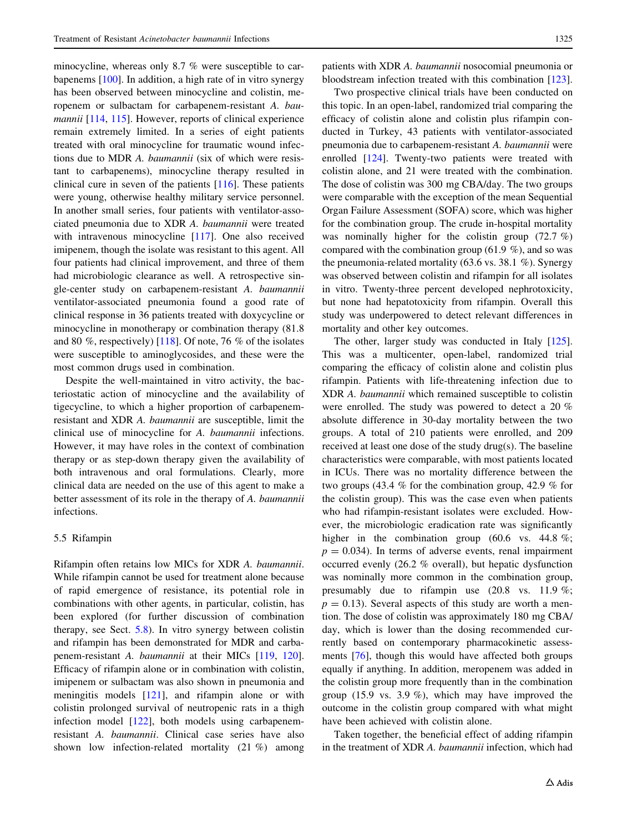minocycline, whereas only 8.7 % were susceptible to carbapenems [\[100\]](#page-16-0). In addition, a high rate of in vitro synergy has been observed between minocycline and colistin, meropenem or sulbactam for carbapenem-resistant A. bau-mannii [\[114](#page-17-0), [115](#page-17-0)]. However, reports of clinical experience remain extremely limited. In a series of eight patients treated with oral minocycline for traumatic wound infections due to MDR A. baumannii (six of which were resistant to carbapenems), minocycline therapy resulted in clinical cure in seven of the patients [[116\]](#page-17-0). These patients were young, otherwise healthy military service personnel. In another small series, four patients with ventilator-associated pneumonia due to XDR A. baumannii were treated with intravenous minocycline [[117\]](#page-17-0). One also received imipenem, though the isolate was resistant to this agent. All four patients had clinical improvement, and three of them had microbiologic clearance as well. A retrospective single-center study on carbapenem-resistant A. baumannii ventilator-associated pneumonia found a good rate of clinical response in 36 patients treated with doxycycline or minocycline in monotherapy or combination therapy (81.8 and 80 %, respectively) [[118\]](#page-17-0). Of note, 76 % of the isolates were susceptible to aminoglycosides, and these were the most common drugs used in combination.

Despite the well-maintained in vitro activity, the bacteriostatic action of minocycline and the availability of tigecycline, to which a higher proportion of carbapenemresistant and XDR A. baumannii are susceptible, limit the clinical use of minocycline for A. baumannii infections. However, it may have roles in the context of combination therapy or as step-down therapy given the availability of both intravenous and oral formulations. Clearly, more clinical data are needed on the use of this agent to make a better assessment of its role in the therapy of A. baumannii infections.

## 5.5 Rifampin

Rifampin often retains low MICs for XDR A. baumannii. While rifampin cannot be used for treatment alone because of rapid emergence of resistance, its potential role in combinations with other agents, in particular, colistin, has been explored (for further discussion of combination therapy, see Sect. [5.8\)](#page-11-0). In vitro synergy between colistin and rifampin has been demonstrated for MDR and carbapenem-resistant A. baumannii at their MICs [\[119](#page-17-0), [120](#page-17-0)]. Efficacy of rifampin alone or in combination with colistin, imipenem or sulbactam was also shown in pneumonia and meningitis models [[121\]](#page-17-0), and rifampin alone or with colistin prolonged survival of neutropenic rats in a thigh infection model [\[122](#page-17-0)], both models using carbapenemresistant A. baumannii. Clinical case series have also shown low infection-related mortality (21 %) among

patients with XDR A. baumannii nosocomial pneumonia or bloodstream infection treated with this combination [\[123](#page-17-0)].

Two prospective clinical trials have been conducted on this topic. In an open-label, randomized trial comparing the efficacy of colistin alone and colistin plus rifampin conducted in Turkey, 43 patients with ventilator-associated pneumonia due to carbapenem-resistant A. baumannii were enrolled [\[124](#page-17-0)]. Twenty-two patients were treated with colistin alone, and 21 were treated with the combination. The dose of colistin was 300 mg CBA/day. The two groups were comparable with the exception of the mean Sequential Organ Failure Assessment (SOFA) score, which was higher for the combination group. The crude in-hospital mortality was nominally higher for the colistin group (72.7 %) compared with the combination group (61.9 %), and so was the pneumonia-related mortality (63.6 vs. 38.1  $%$ ). Synergy was observed between colistin and rifampin for all isolates in vitro. Twenty-three percent developed nephrotoxicity, but none had hepatotoxicity from rifampin. Overall this study was underpowered to detect relevant differences in mortality and other key outcomes.

The other, larger study was conducted in Italy [\[125](#page-17-0)]. This was a multicenter, open-label, randomized trial comparing the efficacy of colistin alone and colistin plus rifampin. Patients with life-threatening infection due to XDR A. baumannii which remained susceptible to colistin were enrolled. The study was powered to detect a 20 % absolute difference in 30-day mortality between the two groups. A total of 210 patients were enrolled, and 209 received at least one dose of the study drug(s). The baseline characteristics were comparable, with most patients located in ICUs. There was no mortality difference between the two groups (43.4 % for the combination group, 42.9 % for the colistin group). This was the case even when patients who had rifampin-resistant isolates were excluded. However, the microbiologic eradication rate was significantly higher in the combination group (60.6 vs. 44.8 %;  $p = 0.034$ ). In terms of adverse events, renal impairment occurred evenly (26.2 % overall), but hepatic dysfunction was nominally more common in the combination group, presumably due to rifampin use (20.8 vs. 11.9 %;  $p = 0.13$ ). Several aspects of this study are worth a mention. The dose of colistin was approximately 180 mg CBA/ day, which is lower than the dosing recommended currently based on contemporary pharmacokinetic assessments [\[76](#page-15-0)], though this would have affected both groups equally if anything. In addition, meropenem was added in the colistin group more frequently than in the combination group (15.9 vs. 3.9 %), which may have improved the outcome in the colistin group compared with what might have been achieved with colistin alone.

Taken together, the beneficial effect of adding rifampin in the treatment of XDR A. baumannii infection, which had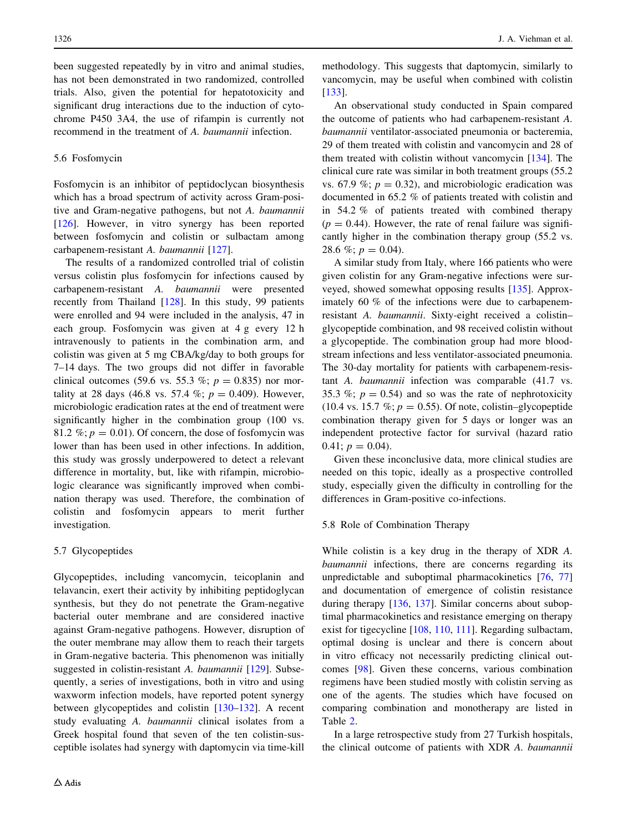<span id="page-11-0"></span>been suggested repeatedly by in vitro and animal studies, has not been demonstrated in two randomized, controlled trials. Also, given the potential for hepatotoxicity and significant drug interactions due to the induction of cytochrome P450 3A4, the use of rifampin is currently not recommend in the treatment of A. baumannii infection.

#### 5.6 Fosfomycin

Fosfomycin is an inhibitor of peptidoclycan biosynthesis which has a broad spectrum of activity across Gram-positive and Gram-negative pathogens, but not A. baumannii [\[126](#page-17-0)]. However, in vitro synergy has been reported between fosfomycin and colistin or sulbactam among carbapenem-resistant A. baumannii [[127\]](#page-17-0).

The results of a randomized controlled trial of colistin versus colistin plus fosfomycin for infections caused by carbapenem-resistant A. baumannii were presented recently from Thailand [\[128](#page-17-0)]. In this study, 99 patients were enrolled and 94 were included in the analysis, 47 in each group. Fosfomycin was given at 4 g every 12 h intravenously to patients in the combination arm, and colistin was given at 5 mg CBA/kg/day to both groups for 7–14 days. The two groups did not differ in favorable clinical outcomes (59.6 vs. 55.3 %;  $p = 0.835$ ) nor mortality at 28 days (46.8 vs. 57.4 %;  $p = 0.409$ ). However, microbiologic eradication rates at the end of treatment were significantly higher in the combination group (100 vs. 81.2 %;  $p = 0.01$ ). Of concern, the dose of fosfomycin was lower than has been used in other infections. In addition, this study was grossly underpowered to detect a relevant difference in mortality, but, like with rifampin, microbiologic clearance was significantly improved when combination therapy was used. Therefore, the combination of colistin and fosfomycin appears to merit further investigation.

#### 5.7 Glycopeptides

Glycopeptides, including vancomycin, teicoplanin and telavancin, exert their activity by inhibiting peptidoglycan synthesis, but they do not penetrate the Gram-negative bacterial outer membrane and are considered inactive against Gram-negative pathogens. However, disruption of the outer membrane may allow them to reach their targets in Gram-negative bacteria. This phenomenon was initially suggested in colistin-resistant A. baumannii [[129\]](#page-17-0). Subsequently, a series of investigations, both in vitro and using waxworm infection models, have reported potent synergy between glycopeptides and colistin [[130–132\]](#page-17-0). A recent study evaluating A. baumannii clinical isolates from a Greek hospital found that seven of the ten colistin-susceptible isolates had synergy with daptomycin via time-kill methodology. This suggests that daptomycin, similarly to vancomycin, may be useful when combined with colistin [\[133](#page-17-0)].

An observational study conducted in Spain compared the outcome of patients who had carbapenem-resistant A. baumannii ventilator-associated pneumonia or bacteremia, 29 of them treated with colistin and vancomycin and 28 of them treated with colistin without vancomycin [\[134](#page-17-0)]. The clinical cure rate was similar in both treatment groups (55.2 vs. 67.9 %;  $p = 0.32$ ), and microbiologic eradication was documented in 65.2 % of patients treated with colistin and in 54.2 % of patients treated with combined therapy  $(p = 0.44)$ . However, the rate of renal failure was significantly higher in the combination therapy group (55.2 vs. 28.6 %;  $p = 0.04$ ).

A similar study from Italy, where 166 patients who were given colistin for any Gram-negative infections were surveyed, showed somewhat opposing results [\[135](#page-17-0)]. Approximately 60 % of the infections were due to carbapenemresistant A. baumannii. Sixty-eight received a colistin– glycopeptide combination, and 98 received colistin without a glycopeptide. The combination group had more bloodstream infections and less ventilator-associated pneumonia. The 30-day mortality for patients with carbapenem-resistant A. baumannii infection was comparable (41.7 vs. 35.3 %;  $p = 0.54$ ) and so was the rate of nephrotoxicity (10.4 vs. 15.7 %;  $p = 0.55$ ). Of note, colistin–glycopeptide combination therapy given for 5 days or longer was an independent protective factor for survival (hazard ratio 0.41;  $p = 0.04$ ).

Given these inconclusive data, more clinical studies are needed on this topic, ideally as a prospective controlled study, especially given the difficulty in controlling for the differences in Gram-positive co-infections.

## 5.8 Role of Combination Therapy

While colistin is a key drug in the therapy of XDR A. baumannii infections, there are concerns regarding its unpredictable and suboptimal pharmacokinetics [[76,](#page-15-0) [77\]](#page-15-0) and documentation of emergence of colistin resistance during therapy [\[136](#page-17-0), [137](#page-17-0)]. Similar concerns about suboptimal pharmacokinetics and resistance emerging on therapy exist for tigecycline [\[108](#page-16-0), [110,](#page-17-0) [111\]](#page-17-0). Regarding sulbactam, optimal dosing is unclear and there is concern about in vitro efficacy not necessarily predicting clinical outcomes [\[98](#page-16-0)]. Given these concerns, various combination regimens have been studied mostly with colistin serving as one of the agents. The studies which have focused on comparing combination and monotherapy are listed in Table [2](#page-5-0).

In a large retrospective study from 27 Turkish hospitals, the clinical outcome of patients with XDR A. baumannii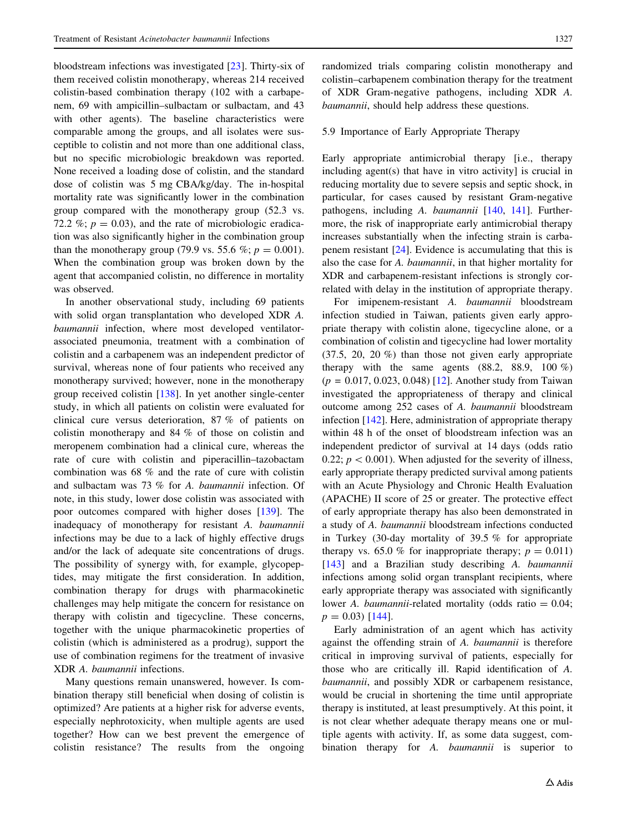<span id="page-12-0"></span>bloodstream infections was investigated [\[23](#page-14-0)]. Thirty-six of them received colistin monotherapy, whereas 214 received colistin-based combination therapy (102 with a carbapenem, 69 with ampicillin–sulbactam or sulbactam, and 43 with other agents). The baseline characteristics were comparable among the groups, and all isolates were susceptible to colistin and not more than one additional class, but no specific microbiologic breakdown was reported. None received a loading dose of colistin, and the standard dose of colistin was 5 mg CBA/kg/day. The in-hospital mortality rate was significantly lower in the combination group compared with the monotherapy group (52.3 vs. 72.2 %;  $p = 0.03$ ), and the rate of microbiologic eradication was also significantly higher in the combination group than the monotherapy group (79.9 vs. 55.6 %;  $p = 0.001$ ). When the combination group was broken down by the agent that accompanied colistin, no difference in mortality was observed.

In another observational study, including 69 patients with solid organ transplantation who developed XDR A. baumannii infection, where most developed ventilatorassociated pneumonia, treatment with a combination of colistin and a carbapenem was an independent predictor of survival, whereas none of four patients who received any monotherapy survived; however, none in the monotherapy group received colistin [[138\]](#page-17-0). In yet another single-center study, in which all patients on colistin were evaluated for clinical cure versus deterioration, 87 % of patients on colistin monotherapy and 84 % of those on colistin and meropenem combination had a clinical cure, whereas the rate of cure with colistin and piperacillin–tazobactam combination was 68 % and the rate of cure with colistin and sulbactam was 73 % for A. baumannii infection. Of note, in this study, lower dose colistin was associated with poor outcomes compared with higher doses [[139](#page-18-0)]. The inadequacy of monotherapy for resistant A. baumannii infections may be due to a lack of highly effective drugs and/or the lack of adequate site concentrations of drugs. The possibility of synergy with, for example, glycopeptides, may mitigate the first consideration. In addition, combination therapy for drugs with pharmacokinetic challenges may help mitigate the concern for resistance on therapy with colistin and tigecycline. These concerns, together with the unique pharmacokinetic properties of colistin (which is administered as a prodrug), support the use of combination regimens for the treatment of invasive XDR A. baumannii infections.

Many questions remain unanswered, however. Is combination therapy still beneficial when dosing of colistin is optimized? Are patients at a higher risk for adverse events, especially nephrotoxicity, when multiple agents are used together? How can we best prevent the emergence of colistin resistance? The results from the ongoing randomized trials comparing colistin monotherapy and colistin–carbapenem combination therapy for the treatment of XDR Gram-negative pathogens, including XDR A. baumannii, should help address these questions.

## 5.9 Importance of Early Appropriate Therapy

Early appropriate antimicrobial therapy [i.e., therapy including agent(s) that have in vitro activity] is crucial in reducing mortality due to severe sepsis and septic shock, in particular, for cases caused by resistant Gram-negative pathogens, including A. baumannii [[140,](#page-18-0) [141](#page-18-0)]. Furthermore, the risk of inappropriate early antimicrobial therapy increases substantially when the infecting strain is carbapenem resistant [[24\]](#page-14-0). Evidence is accumulating that this is also the case for A. baumannii, in that higher mortality for XDR and carbapenem-resistant infections is strongly correlated with delay in the institution of appropriate therapy.

For imipenem-resistant A. baumannii bloodstream infection studied in Taiwan, patients given early appropriate therapy with colistin alone, tigecycline alone, or a combination of colistin and tigecycline had lower mortality (37.5, 20, 20 %) than those not given early appropriate therapy with the same agents  $(88.2, 88.9, 100\%)$  $(p = 0.017, 0.023, 0.048)$  [\[12](#page-13-0)]. Another study from Taiwan investigated the appropriateness of therapy and clinical outcome among 252 cases of A. baumannii bloodstream infection [[142](#page-18-0)]. Here, administration of appropriate therapy within 48 h of the onset of bloodstream infection was an independent predictor of survival at 14 days (odds ratio 0.22;  $p < 0.001$ ). When adjusted for the severity of illness, early appropriate therapy predicted survival among patients with an Acute Physiology and Chronic Health Evaluation (APACHE) II score of 25 or greater. The protective effect of early appropriate therapy has also been demonstrated in a study of A. baumannii bloodstream infections conducted in Turkey (30-day mortality of 39.5 % for appropriate therapy vs. 65.0 % for inappropriate therapy;  $p = 0.011$ ) [\[143](#page-18-0)] and a Brazilian study describing A. baumannii infections among solid organ transplant recipients, where early appropriate therapy was associated with significantly lower A. *baumannii*-related mortality (odds ratio  $= 0.04$ ;  $p = 0.03$  [[144\]](#page-18-0).

Early administration of an agent which has activity against the offending strain of A. baumannii is therefore critical in improving survival of patients, especially for those who are critically ill. Rapid identification of A. baumannii, and possibly XDR or carbapenem resistance, would be crucial in shortening the time until appropriate therapy is instituted, at least presumptively. At this point, it is not clear whether adequate therapy means one or multiple agents with activity. If, as some data suggest, combination therapy for A. baumannii is superior to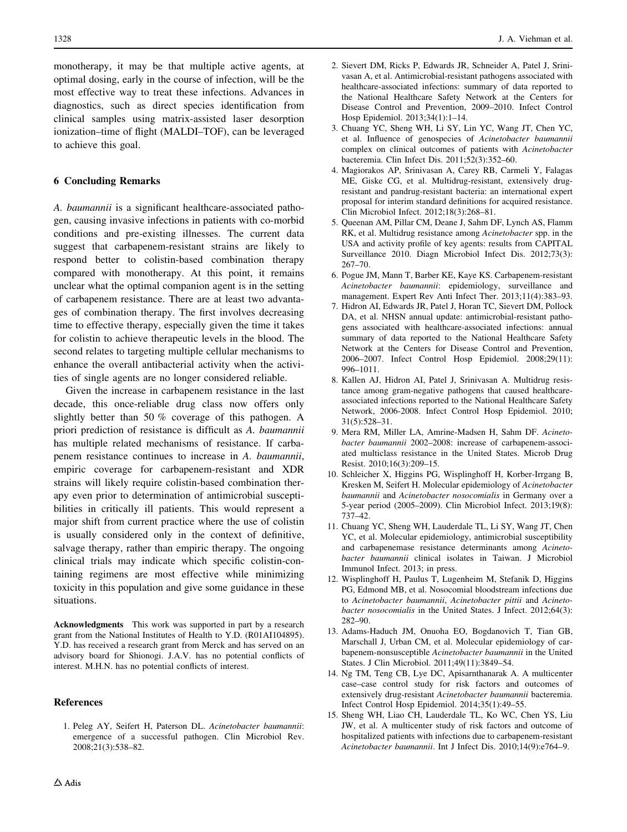<span id="page-13-0"></span>monotherapy, it may be that multiple active agents, at optimal dosing, early in the course of infection, will be the most effective way to treat these infections. Advances in diagnostics, such as direct species identification from clinical samples using matrix-assisted laser desorption ionization–time of flight (MALDI–TOF), can be leveraged to achieve this goal.

# 6 Concluding Remarks

A. baumannii is a significant healthcare-associated pathogen, causing invasive infections in patients with co-morbid conditions and pre-existing illnesses. The current data suggest that carbapenem-resistant strains are likely to respond better to colistin-based combination therapy compared with monotherapy. At this point, it remains unclear what the optimal companion agent is in the setting of carbapenem resistance. There are at least two advantages of combination therapy. The first involves decreasing time to effective therapy, especially given the time it takes for colistin to achieve therapeutic levels in the blood. The second relates to targeting multiple cellular mechanisms to enhance the overall antibacterial activity when the activities of single agents are no longer considered reliable.

Given the increase in carbapenem resistance in the last decade, this once-reliable drug class now offers only slightly better than 50 % coverage of this pathogen. A priori prediction of resistance is difficult as A. baumannii has multiple related mechanisms of resistance. If carbapenem resistance continues to increase in A. baumannii, empiric coverage for carbapenem-resistant and XDR strains will likely require colistin-based combination therapy even prior to determination of antimicrobial susceptibilities in critically ill patients. This would represent a major shift from current practice where the use of colistin is usually considered only in the context of definitive, salvage therapy, rather than empiric therapy. The ongoing clinical trials may indicate which specific colistin-containing regimens are most effective while minimizing toxicity in this population and give some guidance in these situations.

Acknowledgments This work was supported in part by a research grant from the National Institutes of Health to Y.D. (R01AI104895). Y.D. has received a research grant from Merck and has served on an advisory board for Shionogi. J.A.V. has no potential conflicts of interest. M.H.N. has no potential conflicts of interest.

#### References

1. Peleg AY, Seifert H, Paterson DL. Acinetobacter baumannii: emergence of a successful pathogen. Clin Microbiol Rev. 2008;21(3):538–82.

- 2. Sievert DM, Ricks P, Edwards JR, Schneider A, Patel J, Srinivasan A, et al. Antimicrobial-resistant pathogens associated with healthcare-associated infections: summary of data reported to the National Healthcare Safety Network at the Centers for Disease Control and Prevention, 2009–2010. Infect Control Hosp Epidemiol. 2013;34(1):1–14.
- 3. Chuang YC, Sheng WH, Li SY, Lin YC, Wang JT, Chen YC, et al. Influence of genospecies of Acinetobacter baumannii complex on clinical outcomes of patients with Acinetobacter bacteremia. Clin Infect Dis. 2011;52(3):352–60.
- 4. Magiorakos AP, Srinivasan A, Carey RB, Carmeli Y, Falagas ME, Giske CG, et al. Multidrug-resistant, extensively drugresistant and pandrug-resistant bacteria: an international expert proposal for interim standard definitions for acquired resistance. Clin Microbiol Infect. 2012;18(3):268–81.
- 5. Queenan AM, Pillar CM, Deane J, Sahm DF, Lynch AS, Flamm RK, et al. Multidrug resistance among Acinetobacter spp. in the USA and activity profile of key agents: results from CAPITAL Surveillance 2010. Diagn Microbiol Infect Dis. 2012;73(3): 267–70.
- 6. Pogue JM, Mann T, Barber KE, Kaye KS. Carbapenem-resistant Acinetobacter baumannii: epidemiology, surveillance and management. Expert Rev Anti Infect Ther. 2013;11(4):383–93.
- 7. Hidron AI, Edwards JR, Patel J, Horan TC, Sievert DM, Pollock DA, et al. NHSN annual update: antimicrobial-resistant pathogens associated with healthcare-associated infections: annual summary of data reported to the National Healthcare Safety Network at the Centers for Disease Control and Prevention, 2006–2007. Infect Control Hosp Epidemiol. 2008;29(11): 996–1011.
- 8. Kallen AJ, Hidron AI, Patel J, Srinivasan A. Multidrug resistance among gram-negative pathogens that caused healthcareassociated infections reported to the National Healthcare Safety Network, 2006-2008. Infect Control Hosp Epidemiol. 2010; 31(5):528–31.
- 9. Mera RM, Miller LA, Amrine-Madsen H, Sahm DF. Acinetobacter baumannii 2002–2008: increase of carbapenem-associated multiclass resistance in the United States. Microb Drug Resist. 2010;16(3):209–15.
- 10. Schleicher X, Higgins PG, Wisplinghoff H, Korber-Irrgang B, Kresken M, Seifert H. Molecular epidemiology of Acinetobacter baumannii and Acinetobacter nosocomialis in Germany over a 5-year period (2005–2009). Clin Microbiol Infect. 2013;19(8): 737–42.
- 11. Chuang YC, Sheng WH, Lauderdale TL, Li SY, Wang JT, Chen YC, et al. Molecular epidemiology, antimicrobial susceptibility and carbapenemase resistance determinants among Acinetobacter baumannii clinical isolates in Taiwan. J Microbiol Immunol Infect. 2013; in press.
- 12. Wisplinghoff H, Paulus T, Lugenheim M, Stefanik D, Higgins PG, Edmond MB, et al. Nosocomial bloodstream infections due to Acinetobacter baumannii, Acinetobacter pittii and Acinetobacter nosocomialis in the United States. J Infect. 2012;64(3): 282–90.
- 13. Adams-Haduch JM, Onuoha EO, Bogdanovich T, Tian GB, Marschall J, Urban CM, et al. Molecular epidemiology of carbapenem-nonsusceptible Acinetobacter baumannii in the United States. J Clin Microbiol. 2011;49(11):3849–54.
- 14. Ng TM, Teng CB, Lye DC, Apisarnthanarak A. A multicenter case–case control study for risk factors and outcomes of extensively drug-resistant Acinetobacter baumannii bacteremia. Infect Control Hosp Epidemiol. 2014;35(1):49–55.
- 15. Sheng WH, Liao CH, Lauderdale TL, Ko WC, Chen YS, Liu JW, et al. A multicenter study of risk factors and outcome of hospitalized patients with infections due to carbapenem-resistant Acinetobacter baumannii. Int J Infect Dis. 2010;14(9):e764–9.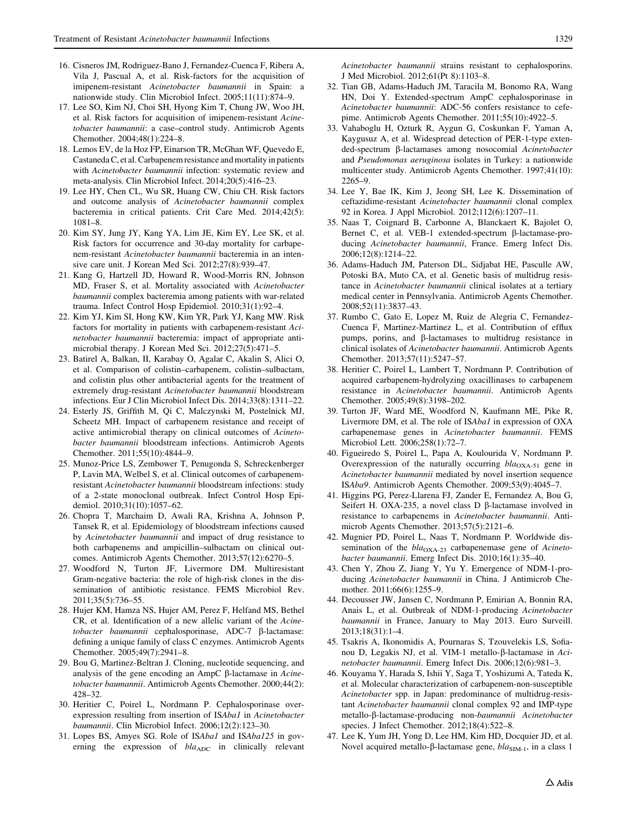- <span id="page-14-0"></span>16. Cisneros JM, Rodriguez-Bano J, Fernandez-Cuenca F, Ribera A, Vila J, Pascual A, et al. Risk-factors for the acquisition of imipenem-resistant Acinetobacter baumannii in Spain: a nationwide study. Clin Microbiol Infect. 2005;11(11):874–9.
- 17. Lee SO, Kim NJ, Choi SH, Hyong Kim T, Chung JW, Woo JH, et al. Risk factors for acquisition of imipenem-resistant Acinetobacter baumannii: a case–control study. Antimicrob Agents Chemother. 2004;48(1):224–8.
- 18. Lemos EV, de la Hoz FP, Einarson TR, McGhan WF, Quevedo E, Castaneda C, et al. Carbapenem resistance and mortality in patients with Acinetobacter baumannii infection: systematic review and meta-analysis. Clin Microbiol Infect. 2014;20(5):416–23.
- 19. Lee HY, Chen CL, Wu SR, Huang CW, Chiu CH. Risk factors and outcome analysis of Acinetobacter baumannii complex bacteremia in critical patients. Crit Care Med. 2014;42(5): 1081–8.
- 20. Kim SY, Jung JY, Kang YA, Lim JE, Kim EY, Lee SK, et al. Risk factors for occurrence and 30-day mortality for carbapenem-resistant Acinetobacter baumannii bacteremia in an intensive care unit. J Korean Med Sci. 2012;27(8):939–47.
- 21. Kang G, Hartzell JD, Howard R, Wood-Morris RN, Johnson MD, Fraser S, et al. Mortality associated with Acinetobacter baumannii complex bacteremia among patients with war-related trauma. Infect Control Hosp Epidemiol. 2010;31(1):92–4.
- 22. Kim YJ, Kim SI, Hong KW, Kim YR, Park YJ, Kang MW. Risk factors for mortality in patients with carbapenem-resistant Acinetobacter baumannii bacteremia: impact of appropriate antimicrobial therapy. J Korean Med Sci. 2012;27(5):471–5.
- 23. Batirel A, Balkan, II, Karabay O, Agalar C, Akalin S, Alici O, et al. Comparison of colistin–carbapenem, colistin–sulbactam, and colistin plus other antibacterial agents for the treatment of extremely drug-resistant Acinetobacter baumannii bloodstream infections. Eur J Clin Microbiol Infect Dis. 2014;33(8):1311–22.
- 24. Esterly JS, Griffith M, Qi C, Malczynski M, Postelnick MJ, Scheetz MH. Impact of carbapenem resistance and receipt of active antimicrobial therapy on clinical outcomes of Acinetobacter baumannii bloodstream infections. Antimicrob Agents Chemother. 2011;55(10):4844–9.
- 25. Munoz-Price LS, Zembower T, Penugonda S, Schreckenberger P, Lavin MA, Welbel S, et al. Clinical outcomes of carbapenemresistant Acinetobacter baumannii bloodstream infections: study of a 2-state monoclonal outbreak. Infect Control Hosp Epidemiol. 2010;31(10):1057–62.
- 26. Chopra T, Marchaim D, Awali RA, Krishna A, Johnson P, Tansek R, et al. Epidemiology of bloodstream infections caused by Acinetobacter baumannii and impact of drug resistance to both carbapenems and ampicillin–sulbactam on clinical outcomes. Antimicrob Agents Chemother. 2013;57(12):6270–5.
- 27. Woodford N, Turton JF, Livermore DM. Multiresistant Gram-negative bacteria: the role of high-risk clones in the dissemination of antibiotic resistance. FEMS Microbiol Rev. 2011;35(5):736–55.
- 28. Hujer KM, Hamza NS, Hujer AM, Perez F, Helfand MS, Bethel CR, et al. Identification of a new allelic variant of the Acinetobacter baumannii cephalosporinase, ADC-7 ß-lactamase: defining a unique family of class C enzymes. Antimicrob Agents Chemother. 2005;49(7):2941–8.
- 29. Bou G, Martinez-Beltran J. Cloning, nucleotide sequencing, and analysis of the gene encoding an AmpC  $\beta$ -lactamase in Acinetobacter baumannii. Antimicrob Agents Chemother. 2000;44(2): 428–32.
- 30. Heritier C, Poirel L, Nordmann P. Cephalosporinase overexpression resulting from insertion of ISAba1 in Acinetobacter baumannii. Clin Microbiol Infect. 2006;12(2):123–30.
- 31. Lopes BS, Amyes SG. Role of ISAba1 and ISAba125 in governing the expression of  $bla<sub>ADC</sub>$  in clinically relevant

Acinetobacter baumannii strains resistant to cephalosporins. J Med Microbiol. 2012;61(Pt 8):1103–8.

- 32. Tian GB, Adams-Haduch JM, Taracila M, Bonomo RA, Wang HN, Doi Y. Extended-spectrum AmpC cephalosporinase in Acinetobacter baumannii: ADC-56 confers resistance to cefepime. Antimicrob Agents Chemother. 2011;55(10):4922–5.
- 33. Vahaboglu H, Ozturk R, Aygun G, Coskunkan F, Yaman A, Kaygusuz A, et al. Widespread detection of PER-1-type extended-spectrum β-lactamases among nosocomial Acinetobacter and Pseudomonas aeruginosa isolates in Turkey: a nationwide multicenter study. Antimicrob Agents Chemother. 1997;41(10): 2265–9.
- 34. Lee Y, Bae IK, Kim J, Jeong SH, Lee K. Dissemination of ceftazidime-resistant Acinetobacter baumannii clonal complex 92 in Korea. J Appl Microbiol. 2012;112(6):1207–11.
- 35. Naas T, Coignard B, Carbonne A, Blanckaert K, Bajolet O, Bernet C, et al. VEB-1 extended-spectrum  $\beta$ -lactamase-producing Acinetobacter baumannii, France. Emerg Infect Dis. 2006;12(8):1214–22.
- 36. Adams-Haduch JM, Paterson DL, Sidjabat HE, Pasculle AW, Potoski BA, Muto CA, et al. Genetic basis of multidrug resistance in Acinetobacter baumannii clinical isolates at a tertiary medical center in Pennsylvania. Antimicrob Agents Chemother. 2008;52(11):3837–43.
- 37. Rumbo C, Gato E, Lopez M, Ruiz de Alegria C, Fernandez-Cuenca F, Martinez-Martinez L, et al. Contribution of efflux pumps, porins, and b-lactamases to multidrug resistance in clinical isolates of Acinetobacter baumannii. Antimicrob Agents Chemother. 2013;57(11):5247–57.
- 38. Heritier C, Poirel L, Lambert T, Nordmann P. Contribution of acquired carbapenem-hydrolyzing oxacillinases to carbapenem resistance in Acinetobacter baumannii. Antimicrob Agents Chemother. 2005;49(8):3198–202.
- 39. Turton JF, Ward ME, Woodford N, Kaufmann ME, Pike R, Livermore DM, et al. The role of ISAbal in expression of OXA carbapenemase genes in Acinetobacter baumannii. FEMS Microbiol Lett. 2006;258(1):72–7.
- 40. Figueiredo S, Poirel L, Papa A, Koulourida V, Nordmann P. Overexpression of the naturally occurring  $bla_{\text{OXA-51}}$  gene in Acinetobacter baumannii mediated by novel insertion sequence ISAba9. Antimicrob Agents Chemother. 2009;53(9):4045–7.
- 41. Higgins PG, Perez-Llarena FJ, Zander E, Fernandez A, Bou G, Seifert H. OXA-235, a novel class D  $\beta$ -lactamase involved in resistance to carbapenems in Acinetobacter baumannii. Antimicrob Agents Chemother. 2013;57(5):2121–6.
- 42. Mugnier PD, Poirel L, Naas T, Nordmann P. Worldwide dissemination of the  $bla_{\text{OXA-23}}$  carbapenemase gene of Acinetobacter baumannii. Emerg Infect Dis. 2010;16(1):35–40.
- 43. Chen Y, Zhou Z, Jiang Y, Yu Y. Emergence of NDM-1-producing Acinetobacter baumannii in China. J Antimicrob Chemother. 2011;66(6):1255–9.
- 44. Decousser JW, Jansen C, Nordmann P, Emirian A, Bonnin RA, Anais L, et al. Outbreak of NDM-1-producing Acinetobacter baumannii in France, January to May 2013. Euro Surveill. 2013;18(31):1–4.
- 45. Tsakris A, Ikonomidis A, Pournaras S, Tzouvelekis LS, Sofianou D, Legakis NJ, et al. VIM-1 metallo-β-lactamase in Acinetobacter baumannii. Emerg Infect Dis. 2006;12(6):981–3.
- 46. Kouyama Y, Harada S, Ishii Y, Saga T, Yoshizumi A, Tateda K, et al. Molecular characterization of carbapenem-non-susceptible Acinetobacter spp. in Japan: predominance of multidrug-resistant Acinetobacter baumannii clonal complex 92 and IMP-type metallo-β-lactamase-producing non-baumannii Acinetobacter species. J Infect Chemother. 2012;18(4):522–8.
- 47. Lee K, Yum JH, Yong D, Lee HM, Kim HD, Docquier JD, et al. Novel acquired metallo- $\beta$ -lactamase gene,  $bla_{SIM-1}$ , in a class 1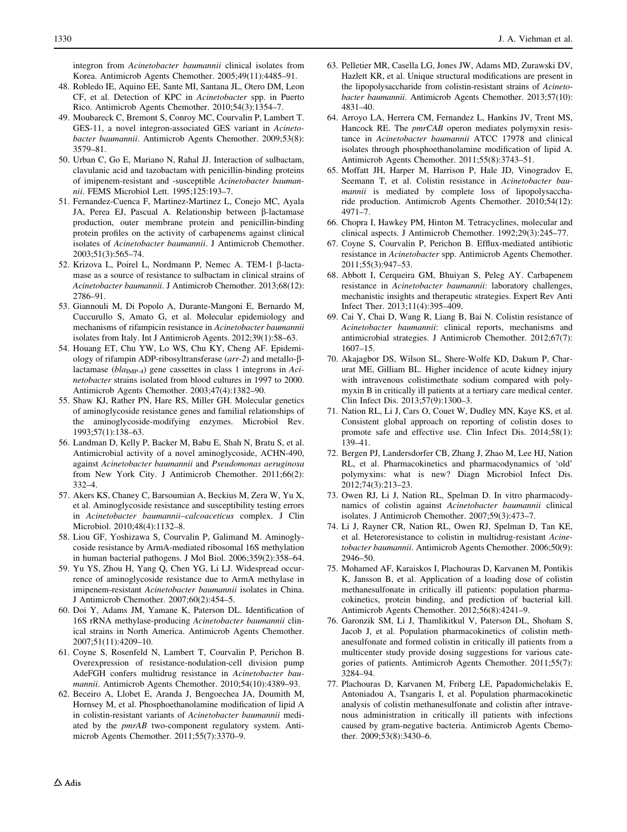<span id="page-15-0"></span>integron from Acinetobacter baumannii clinical isolates from Korea. Antimicrob Agents Chemother. 2005;49(11):4485–91.

- 48. Robledo IE, Aquino EE, Sante MI, Santana JL, Otero DM, Leon CF, et al. Detection of KPC in Acinetobacter spp. in Puerto Rico. Antimicrob Agents Chemother. 2010;54(3):1354–7.
- 49. Moubareck C, Bremont S, Conroy MC, Courvalin P, Lambert T. GES-11, a novel integron-associated GES variant in Acinetobacter baumannii. Antimicrob Agents Chemother. 2009;53(8): 3579–81.
- 50. Urban C, Go E, Mariano N, Rahal JJ. Interaction of sulbactam, clavulanic acid and tazobactam with penicillin-binding proteins of imipenem-resistant and -susceptible Acinetobacter baumannii. FEMS Microbiol Lett. 1995;125:193–7.
- 51. Fernandez-Cuenca F, Martinez-Martinez L, Conejo MC, Ayala JA, Perea EJ, Pascual A. Relationship between β-lactamase production, outer membrane protein and penicillin-binding protein profiles on the activity of carbapenems against clinical isolates of Acinetobacter baumannii. J Antimicrob Chemother. 2003;51(3):565–74.
- 52. Krizova L, Poirel L, Nordmann P, Nemec A. TEM-1 β-lactamase as a source of resistance to sulbactam in clinical strains of Acinetobacter baumannii. J Antimicrob Chemother. 2013;68(12): 2786–91.
- 53. Giannouli M, Di Popolo A, Durante-Mangoni E, Bernardo M, Cuccurullo S, Amato G, et al. Molecular epidemiology and mechanisms of rifampicin resistance in Acinetobacter baumannii isolates from Italy. Int J Antimicrob Agents. 2012;39(1):58–63.
- 54. Houang ET, Chu YW, Lo WS, Chu KY, Cheng AF. Epidemiology of rifampin ADP-ribosyltransferase  $(arr-2)$  and metallo- $\beta$ lactamase ( $bla_{\text{IMP-4}}$ ) gene cassettes in class 1 integrons in Acinetobacter strains isolated from blood cultures in 1997 to 2000. Antimicrob Agents Chemother. 2003;47(4):1382–90.
- 55. Shaw KJ, Rather PN, Hare RS, Miller GH. Molecular genetics of aminoglycoside resistance genes and familial relationships of the aminoglycoside-modifying enzymes. Microbiol Rev. 1993;57(1):138–63.
- 56. Landman D, Kelly P, Backer M, Babu E, Shah N, Bratu S, et al. Antimicrobial activity of a novel aminoglycoside, ACHN-490, against Acinetobacter baumannii and Pseudomonas aeruginosa from New York City. J Antimicrob Chemother. 2011;66(2): 332–4.
- 57. Akers KS, Chaney C, Barsoumian A, Beckius M, Zera W, Yu X, et al. Aminoglycoside resistance and susceptibility testing errors in Acinetobacter baumannii–calcoaceticus complex. J Clin Microbiol. 2010;48(4):1132–8.
- 58. Liou GF, Yoshizawa S, Courvalin P, Galimand M. Aminoglycoside resistance by ArmA-mediated ribosomal 16S methylation in human bacterial pathogens. J Mol Biol. 2006;359(2):358–64.
- 59. Yu YS, Zhou H, Yang Q, Chen YG, Li LJ. Widespread occurrence of aminoglycoside resistance due to ArmA methylase in imipenem-resistant Acinetobacter baumannii isolates in China. J Antimicrob Chemother. 2007;60(2):454–5.
- 60. Doi Y, Adams JM, Yamane K, Paterson DL. Identification of 16S rRNA methylase-producing Acinetobacter baumannii clinical strains in North America. Antimicrob Agents Chemother. 2007;51(11):4209–10.
- 61. Coyne S, Rosenfeld N, Lambert T, Courvalin P, Perichon B. Overexpression of resistance-nodulation-cell division pump AdeFGH confers multidrug resistance in Acinetobacter baumannii. Antimicrob Agents Chemother. 2010;54(10):4389–93.
- 62. Beceiro A, Llobet E, Aranda J, Bengoechea JA, Doumith M, Hornsey M, et al. Phosphoethanolamine modification of lipid A in colistin-resistant variants of Acinetobacter baumannii mediated by the  $pmrAB$  two-component regulatory system. Antimicrob Agents Chemother. 2011;55(7):3370–9.
- 63. Pelletier MR, Casella LG, Jones JW, Adams MD, Zurawski DV, Hazlett KR, et al. Unique structural modifications are present in the lipopolysaccharide from colistin-resistant strains of Acinetobacter baumannii. Antimicrob Agents Chemother. 2013;57(10): 4831–40.
- 64. Arroyo LA, Herrera CM, Fernandez L, Hankins JV, Trent MS, Hancock RE. The *pmrCAB* operon mediates polymyxin resistance in Acinetobacter baumannii ATCC 17978 and clinical isolates through phosphoethanolamine modification of lipid A. Antimicrob Agents Chemother. 2011;55(8):3743–51.
- 65. Moffatt JH, Harper M, Harrison P, Hale JD, Vinogradov E, Seemann T, et al. Colistin resistance in Acinetobacter baumannii is mediated by complete loss of lipopolysaccharide production. Antimicrob Agents Chemother. 2010;54(12): 4971–7.
- 66. Chopra I, Hawkey PM, Hinton M. Tetracyclines, molecular and clinical aspects. J Antimicrob Chemother. 1992;29(3):245–77.
- 67. Coyne S, Courvalin P, Perichon B. Efflux-mediated antibiotic resistance in Acinetobacter spp. Antimicrob Agents Chemother. 2011;55(3):947–53.
- 68. Abbott I, Cerqueira GM, Bhuiyan S, Peleg AY. Carbapenem resistance in Acinetobacter baumannii: laboratory challenges, mechanistic insights and therapeutic strategies. Expert Rev Anti Infect Ther. 2013;11(4):395–409.
- 69. Cai Y, Chai D, Wang R, Liang B, Bai N. Colistin resistance of Acinetobacter baumannii: clinical reports, mechanisms and antimicrobial strategies. J Antimicrob Chemother. 2012;67(7): 1607–15.
- 70. Akajagbor DS, Wilson SL, Shere-Wolfe KD, Dakum P, Charurat ME, Gilliam BL. Higher incidence of acute kidney injury with intravenous colistimethate sodium compared with polymyxin B in critically ill patients at a tertiary care medical center. Clin Infect Dis. 2013;57(9):1300–3.
- 71. Nation RL, Li J, Cars O, Couet W, Dudley MN, Kaye KS, et al. Consistent global approach on reporting of colistin doses to promote safe and effective use. Clin Infect Dis. 2014;58(1): 139–41.
- 72. Bergen PJ, Landersdorfer CB, Zhang J, Zhao M, Lee HJ, Nation RL, et al. Pharmacokinetics and pharmacodynamics of 'old' polymyxins: what is new? Diagn Microbiol Infect Dis. 2012;74(3):213–23.
- 73. Owen RJ, Li J, Nation RL, Spelman D. In vitro pharmacodynamics of colistin against Acinetobacter baumannii clinical isolates. J Antimicrob Chemother. 2007;59(3):473–7.
- 74. Li J, Rayner CR, Nation RL, Owen RJ, Spelman D, Tan KE, et al. Heteroresistance to colistin in multidrug-resistant Acinetobacter baumannii. Antimicrob Agents Chemother. 2006;50(9): 2946–50.
- 75. Mohamed AF, Karaiskos I, Plachouras D, Karvanen M, Pontikis K, Jansson B, et al. Application of a loading dose of colistin methanesulfonate in critically ill patients: population pharmacokinetics, protein binding, and prediction of bacterial kill. Antimicrob Agents Chemother. 2012;56(8):4241–9.
- 76. Garonzik SM, Li J, Thamlikitkul V, Paterson DL, Shoham S, Jacob J, et al. Population pharmacokinetics of colistin methanesulfonate and formed colistin in critically ill patients from a multicenter study provide dosing suggestions for various categories of patients. Antimicrob Agents Chemother. 2011;55(7): 3284–94.
- 77. Plachouras D, Karvanen M, Friberg LE, Papadomichelakis E, Antoniadou A, Tsangaris I, et al. Population pharmacokinetic analysis of colistin methanesulfonate and colistin after intravenous administration in critically ill patients with infections caused by gram-negative bacteria. Antimicrob Agents Chemother. 2009;53(8):3430–6.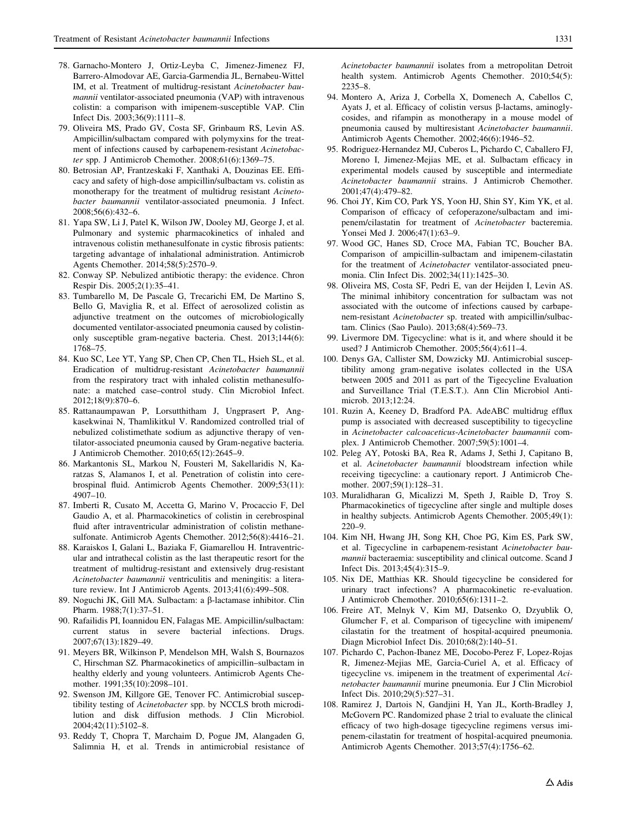- <span id="page-16-0"></span>78. Garnacho-Montero J, Ortiz-Leyba C, Jimenez-Jimenez FJ, Barrero-Almodovar AE, Garcia-Garmendia JL, Bernabeu-Wittel IM, et al. Treatment of multidrug-resistant Acinetobacter baumannii ventilator-associated pneumonia (VAP) with intravenous colistin: a comparison with imipenem-susceptible VAP. Clin Infect Dis. 2003;36(9):1111–8.
- 79. Oliveira MS, Prado GV, Costa SF, Grinbaum RS, Levin AS. Ampicillin/sulbactam compared with polymyxins for the treatment of infections caused by carbapenem-resistant Acinetobacter spp. J Antimicrob Chemother. 2008;61(6):1369–75.
- 80. Betrosian AP, Frantzeskaki F, Xanthaki A, Douzinas EE. Efficacy and safety of high-dose ampicillin/sulbactam vs. colistin as monotherapy for the treatment of multidrug resistant Acinetobacter baumannii ventilator-associated pneumonia. J Infect. 2008;56(6):432–6.
- 81. Yapa SW, Li J, Patel K, Wilson JW, Dooley MJ, George J, et al. Pulmonary and systemic pharmacokinetics of inhaled and intravenous colistin methanesulfonate in cystic fibrosis patients: targeting advantage of inhalational administration. Antimicrob Agents Chemother. 2014;58(5):2570–9.
- 82. Conway SP. Nebulized antibiotic therapy: the evidence. Chron Respir Dis. 2005;2(1):35–41.
- 83. Tumbarello M, De Pascale G, Trecarichi EM, De Martino S, Bello G, Maviglia R, et al. Effect of aerosolized colistin as adjunctive treatment on the outcomes of microbiologically documented ventilator-associated pneumonia caused by colistinonly susceptible gram-negative bacteria. Chest. 2013;144(6): 1768–75.
- 84. Kuo SC, Lee YT, Yang SP, Chen CP, Chen TL, Hsieh SL, et al. Eradication of multidrug-resistant Acinetobacter baumannii from the respiratory tract with inhaled colistin methanesulfonate: a matched case–control study. Clin Microbiol Infect. 2012;18(9):870–6.
- 85. Rattanaumpawan P, Lorsutthitham J, Ungprasert P, Angkasekwinai N, Thamlikitkul V. Randomized controlled trial of nebulized colistimethate sodium as adjunctive therapy of ventilator-associated pneumonia caused by Gram-negative bacteria. J Antimicrob Chemother. 2010;65(12):2645–9.
- 86. Markantonis SL, Markou N, Fousteri M, Sakellaridis N, Karatzas S, Alamanos I, et al. Penetration of colistin into cerebrospinal fluid. Antimicrob Agents Chemother. 2009;53(11): 4907–10.
- 87. Imberti R, Cusato M, Accetta G, Marino V, Procaccio F, Del Gaudio A, et al. Pharmacokinetics of colistin in cerebrospinal fluid after intraventricular administration of colistin methanesulfonate. Antimicrob Agents Chemother. 2012;56(8):4416–21.
- 88. Karaiskos I, Galani L, Baziaka F, Giamarellou H. Intraventricular and intrathecal colistin as the last therapeutic resort for the treatment of multidrug-resistant and extensively drug-resistant Acinetobacter baumannii ventriculitis and meningitis: a literature review. Int J Antimicrob Agents. 2013;41(6):499–508.
- 89. Noguchi JK, Gill MA. Sulbactam: a β-lactamase inhibitor. Clin Pharm. 1988;7(1):37–51.
- 90. Rafailidis PI, Ioannidou EN, Falagas ME. Ampicillin/sulbactam: current status in severe bacterial infections. Drugs. 2007;67(13):1829–49.
- 91. Meyers BR, Wilkinson P, Mendelson MH, Walsh S, Bournazos C, Hirschman SZ. Pharmacokinetics of ampicillin–sulbactam in healthy elderly and young volunteers. Antimicrob Agents Chemother. 1991;35(10):2098–101.
- 92. Swenson JM, Killgore GE, Tenover FC. Antimicrobial susceptibility testing of Acinetobacter spp. by NCCLS broth microdilution and disk diffusion methods. J Clin Microbiol. 2004;42(11):5102–8.
- 93. Reddy T, Chopra T, Marchaim D, Pogue JM, Alangaden G, Salimnia H, et al. Trends in antimicrobial resistance of

Acinetobacter baumannii isolates from a metropolitan Detroit health system. Antimicrob Agents Chemother. 2010;54(5):

- 2235–8. 94. Montero A, Ariza J, Corbella X, Domenech A, Cabellos C, Ayats J, et al. Efficacy of colistin versus  $\beta$ -lactams, aminoglycosides, and rifampin as monotherapy in a mouse model of pneumonia caused by multiresistant Acinetobacter baumannii. Antimicrob Agents Chemother. 2002;46(6):1946–52.
- 95. Rodriguez-Hernandez MJ, Cuberos L, Pichardo C, Caballero FJ, Moreno I, Jimenez-Mejias ME, et al. Sulbactam efficacy in experimental models caused by susceptible and intermediate Acinetobacter baumannii strains. J Antimicrob Chemother. 2001;47(4):479–82.
- 96. Choi JY, Kim CO, Park YS, Yoon HJ, Shin SY, Kim YK, et al. Comparison of efficacy of cefoperazone/sulbactam and imipenem/cilastatin for treatment of Acinetobacter bacteremia. Yonsei Med J. 2006;47(1):63–9.
- 97. Wood GC, Hanes SD, Croce MA, Fabian TC, Boucher BA. Comparison of ampicillin-sulbactam and imipenem-cilastatin for the treatment of Acinetobacter ventilator-associated pneumonia. Clin Infect Dis. 2002;34(11):1425–30.
- 98. Oliveira MS, Costa SF, Pedri E, van der Heijden I, Levin AS. The minimal inhibitory concentration for sulbactam was not associated with the outcome of infections caused by carbapenem-resistant Acinetobacter sp. treated with ampicillin/sulbactam. Clinics (Sao Paulo). 2013;68(4):569–73.
- 99. Livermore DM. Tigecycline: what is it, and where should it be used? J Antimicrob Chemother. 2005;56(4):611–4.
- 100. Denys GA, Callister SM, Dowzicky MJ. Antimicrobial susceptibility among gram-negative isolates collected in the USA between 2005 and 2011 as part of the Tigecycline Evaluation and Surveillance Trial (T.E.S.T.). Ann Clin Microbiol Antimicrob. 2013;12:24.
- 101. Ruzin A, Keeney D, Bradford PA. AdeABC multidrug efflux pump is associated with decreased susceptibility to tigecycline in Acinetobacter calcoaceticus-Acinetobacter baumannii complex. J Antimicrob Chemother. 2007;59(5):1001–4.
- 102. Peleg AY, Potoski BA, Rea R, Adams J, Sethi J, Capitano B, et al. Acinetobacter baumannii bloodstream infection while receiving tigecycline: a cautionary report. J Antimicrob Chemother. 2007;59(1):128–31.
- 103. Muralidharan G, Micalizzi M, Speth J, Raible D, Troy S. Pharmacokinetics of tigecycline after single and multiple doses in healthy subjects. Antimicrob Agents Chemother. 2005;49(1): 220–9.
- 104. Kim NH, Hwang JH, Song KH, Choe PG, Kim ES, Park SW, et al. Tigecycline in carbapenem-resistant Acinetobacter baumannii bacteraemia: susceptibility and clinical outcome. Scand J Infect Dis. 2013;45(4):315–9.
- 105. Nix DE, Matthias KR. Should tigecycline be considered for urinary tract infections? A pharmacokinetic re-evaluation. J Antimicrob Chemother. 2010;65(6):1311–2.
- 106. Freire AT, Melnyk V, Kim MJ, Datsenko O, Dzyublik O, Glumcher F, et al. Comparison of tigecycline with imipenem/ cilastatin for the treatment of hospital-acquired pneumonia. Diagn Microbiol Infect Dis. 2010;68(2):140–51.
- 107. Pichardo C, Pachon-Ibanez ME, Docobo-Perez F, Lopez-Rojas R, Jimenez-Mejias ME, Garcia-Curiel A, et al. Efficacy of tigecycline vs. imipenem in the treatment of experimental Acinetobacter baumannii murine pneumonia. Eur J Clin Microbiol Infect Dis. 2010;29(5):527–31.
- 108. Ramirez J, Dartois N, Gandjini H, Yan JL, Korth-Bradley J, McGovern PC. Randomized phase 2 trial to evaluate the clinical efficacy of two high-dosage tigecycline regimens versus imipenem-cilastatin for treatment of hospital-acquired pneumonia. Antimicrob Agents Chemother. 2013;57(4):1756–62.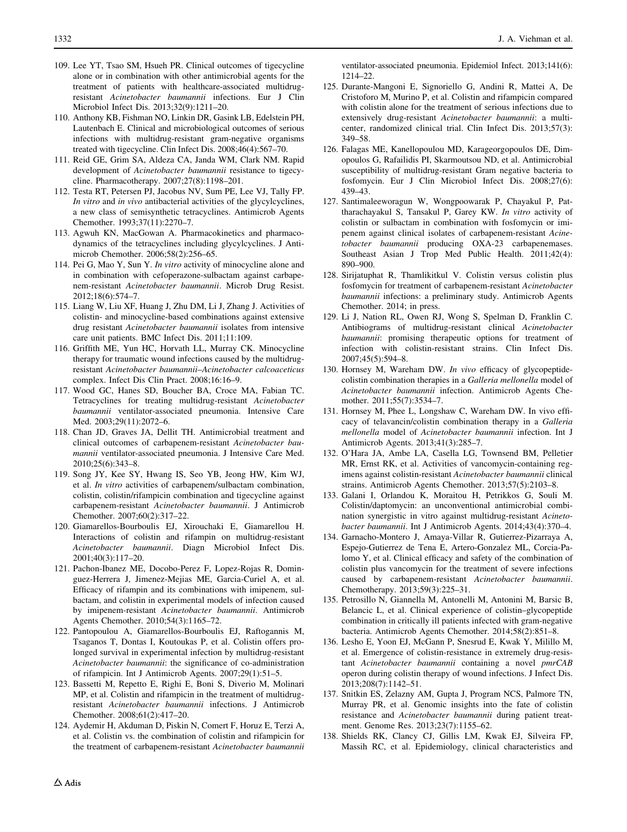- <span id="page-17-0"></span>109. Lee YT, Tsao SM, Hsueh PR. Clinical outcomes of tigecycline alone or in combination with other antimicrobial agents for the treatment of patients with healthcare-associated multidrugresistant Acinetobacter baumannii infections. Eur J Clin Microbiol Infect Dis. 2013;32(9):1211–20.
- 110. Anthony KB, Fishman NO, Linkin DR, Gasink LB, Edelstein PH, Lautenbach E. Clinical and microbiological outcomes of serious infections with multidrug-resistant gram-negative organisms treated with tigecycline. Clin Infect Dis. 2008;46(4):567–70.
- 111. Reid GE, Grim SA, Aldeza CA, Janda WM, Clark NM. Rapid development of Acinetobacter baumannii resistance to tigecycline. Pharmacotherapy. 2007;27(8):1198–201.
- 112. Testa RT, Petersen PJ, Jacobus NV, Sum PE, Lee VJ, Tally FP. In vitro and in vivo antibacterial activities of the glycylcyclines, a new class of semisynthetic tetracyclines. Antimicrob Agents Chemother. 1993;37(11):2270–7.
- 113. Agwuh KN, MacGowan A. Pharmacokinetics and pharmacodynamics of the tetracyclines including glycylcyclines. J Antimicrob Chemother. 2006;58(2):256–65.
- 114. Pei G, Mao Y, Sun Y. In vitro activity of minocycline alone and in combination with cefoperazone-sulbactam against carbapenem-resistant Acinetobacter baumannii. Microb Drug Resist. 2012;18(6):574–7.
- 115. Liang W, Liu XF, Huang J, Zhu DM, Li J, Zhang J. Activities of colistin- and minocycline-based combinations against extensive drug resistant Acinetobacter baumannii isolates from intensive care unit patients. BMC Infect Dis. 2011;11:109.
- 116. Griffith ME, Yun HC, Horvath LL, Murray CK. Minocycline therapy for traumatic wound infections caused by the multidrugresistant Acinetobacter baumannii–Acinetobacter calcoaceticus complex. Infect Dis Clin Pract. 2008;16:16–9.
- 117. Wood GC, Hanes SD, Boucher BA, Croce MA, Fabian TC. Tetracyclines for treating multidrug-resistant Acinetobacter baumannii ventilator-associated pneumonia. Intensive Care Med. 2003;29(11):2072–6.
- 118. Chan JD, Graves JA, Dellit TH. Antimicrobial treatment and clinical outcomes of carbapenem-resistant Acinetobacter baumannii ventilator-associated pneumonia. J Intensive Care Med. 2010;25(6):343–8.
- 119. Song JY, Kee SY, Hwang IS, Seo YB, Jeong HW, Kim WJ, et al. In vitro activities of carbapenem/sulbactam combination, colistin, colistin/rifampicin combination and tigecycline against carbapenem-resistant Acinetobacter baumannii. J Antimicrob Chemother. 2007;60(2):317–22.
- 120. Giamarellos-Bourboulis EJ, Xirouchaki E, Giamarellou H. Interactions of colistin and rifampin on multidrug-resistant Acinetobacter baumannii. Diagn Microbiol Infect Dis. 2001;40(3):117–20.
- 121. Pachon-Ibanez ME, Docobo-Perez F, Lopez-Rojas R, Dominguez-Herrera J, Jimenez-Mejias ME, Garcia-Curiel A, et al. Efficacy of rifampin and its combinations with imipenem, sulbactam, and colistin in experimental models of infection caused by imipenem-resistant Acinetobacter baumannii. Antimicrob Agents Chemother. 2010;54(3):1165–72.
- 122. Pantopoulou A, Giamarellos-Bourboulis EJ, Raftogannis M, Tsaganos T, Dontas I, Koutoukas P, et al. Colistin offers prolonged survival in experimental infection by multidrug-resistant Acinetobacter baumannii: the significance of co-administration of rifampicin. Int J Antimicrob Agents. 2007;29(1):51–5.
- 123. Bassetti M, Repetto E, Righi E, Boni S, Diverio M, Molinari MP, et al. Colistin and rifampicin in the treatment of multidrugresistant Acinetobacter baumannii infections. J Antimicrob Chemother. 2008;61(2):417–20.
- 124. Aydemir H, Akduman D, Piskin N, Comert F, Horuz E, Terzi A, et al. Colistin vs. the combination of colistin and rifampicin for the treatment of carbapenem-resistant Acinetobacter baumannii

ventilator-associated pneumonia. Epidemiol Infect. 2013;141(6): 1214–22.

- 125. Durante-Mangoni E, Signoriello G, Andini R, Mattei A, De Cristoforo M, Murino P, et al. Colistin and rifampicin compared with colistin alone for the treatment of serious infections due to extensively drug-resistant Acinetobacter baumannii: a multicenter, randomized clinical trial. Clin Infect Dis. 2013;57(3): 349–58.
- 126. Falagas ME, Kanellopoulou MD, Karageorgopoulos DE, Dimopoulos G, Rafailidis PI, Skarmoutsou ND, et al. Antimicrobial susceptibility of multidrug-resistant Gram negative bacteria to fosfomycin. Eur J Clin Microbiol Infect Dis. 2008;27(6): 439–43.
- 127. Santimaleeworagun W, Wongpoowarak P, Chayakul P, Pattharachayakul S, Tansakul P, Garey KW. In vitro activity of colistin or sulbactam in combination with fosfomycin or imipenem against clinical isolates of carbapenem-resistant Acinetobacter baumannii producing OXA-23 carbapenemases. Southeast Asian J Trop Med Public Health. 2011;42(4): 890–900.
- 128. Sirijatuphat R, Thamlikitkul V. Colistin versus colistin plus fosfomycin for treatment of carbapenem-resistant Acinetobacter baumannii infections: a preliminary study. Antimicrob Agents Chemother. 2014; in press.
- 129. Li J, Nation RL, Owen RJ, Wong S, Spelman D, Franklin C. Antibiograms of multidrug-resistant clinical Acinetobacter baumannii: promising therapeutic options for treatment of infection with colistin-resistant strains. Clin Infect Dis. 2007;45(5):594–8.
- 130. Hornsey M, Wareham DW. In vivo efficacy of glycopeptidecolistin combination therapies in a Galleria mellonella model of Acinetobacter baumannii infection. Antimicrob Agents Chemother. 2011;55(7):3534–7.
- 131. Hornsey M, Phee L, Longshaw C, Wareham DW. In vivo efficacy of telavancin/colistin combination therapy in a Galleria mellonella model of Acinetobacter baumannii infection. Int J Antimicrob Agents. 2013;41(3):285–7.
- 132. O'Hara JA, Ambe LA, Casella LG, Townsend BM, Pelletier MR, Ernst RK, et al. Activities of vancomycin-containing regimens against colistin-resistant Acinetobacter baumannii clinical strains. Antimicrob Agents Chemother. 2013;57(5):2103–8.
- 133. Galani I, Orlandou K, Moraitou H, Petrikkos G, Souli M. Colistin/daptomycin: an unconventional antimicrobial combination synergistic in vitro against multidrug-resistant Acinetobacter baumannii. Int J Antimicrob Agents. 2014;43(4):370–4.
- 134. Garnacho-Montero J, Amaya-Villar R, Gutierrez-Pizarraya A, Espejo-Gutierrez de Tena E, Artero-Gonzalez ML, Corcia-Palomo Y, et al. Clinical efficacy and safety of the combination of colistin plus vancomycin for the treatment of severe infections caused by carbapenem-resistant Acinetobacter baumannii. Chemotherapy. 2013;59(3):225–31.
- 135. Petrosillo N, Giannella M, Antonelli M, Antonini M, Barsic B, Belancic L, et al. Clinical experience of colistin–glycopeptide combination in critically ill patients infected with gram-negative bacteria. Antimicrob Agents Chemother. 2014;58(2):851–8.
- 136. Lesho E, Yoon EJ, McGann P, Snesrud E, Kwak Y, Milillo M, et al. Emergence of colistin-resistance in extremely drug-resistant Acinetobacter baumannii containing a novel pmrCAB operon during colistin therapy of wound infections. J Infect Dis. 2013;208(7):1142–51.
- 137. Snitkin ES, Zelazny AM, Gupta J, Program NCS, Palmore TN, Murray PR, et al. Genomic insights into the fate of colistin resistance and Acinetobacter baumannii during patient treatment. Genome Res. 2013;23(7):1155–62.
- 138. Shields RK, Clancy CJ, Gillis LM, Kwak EJ, Silveira FP, Massih RC, et al. Epidemiology, clinical characteristics and